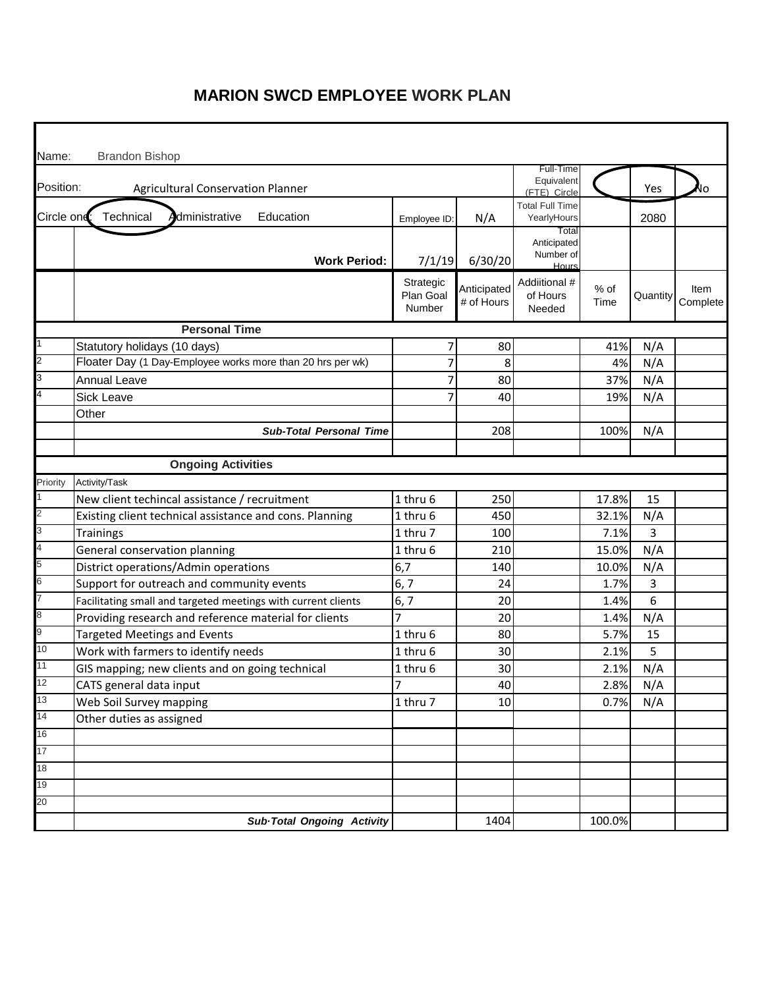| Name:               | <b>Brandon Bishop</b>                                         |                                  |                           |                                            |              |          |                  |
|---------------------|---------------------------------------------------------------|----------------------------------|---------------------------|--------------------------------------------|--------------|----------|------------------|
| Position:           | <b>Agricultural Conservation Planner</b>                      |                                  |                           | Full-Time<br>Equivalent<br>(FTE) Circle    |              | Yes      | ΙO               |
| Circle ond:         | Technical<br><b>A</b> dministrative<br>Education              | Employee ID:                     | N/A                       | <b>Total Full Time</b><br>YearlyHours      |              | 2080     |                  |
|                     | <b>Work Period:</b>                                           | 7/1/19                           | 6/30/20                   | Total<br>Anticipated<br>Number of<br>Hours |              |          |                  |
|                     |                                                               | Strategic<br>Plan Goal<br>Number | Anticipated<br># of Hours | Addiitional #<br>of Hours<br>Needed        | % of<br>Time | Quantity | Item<br>Complete |
|                     | <b>Personal Time</b>                                          |                                  |                           |                                            |              |          |                  |
|                     | Statutory holidays (10 days)                                  | 7                                | 80                        |                                            | 41%          | N/A      |                  |
| $\overline{2}$      | Floater Day (1 Day-Employee works more than 20 hrs per wk)    | 7                                | 8                         |                                            | 4%           | N/A      |                  |
| 3                   | <b>Annual Leave</b>                                           | 7                                | 80                        |                                            | 37%          | N/A      |                  |
| 4                   | <b>Sick Leave</b>                                             | 7                                | 40                        |                                            | 19%          | N/A      |                  |
|                     | Other                                                         |                                  |                           |                                            |              |          |                  |
|                     | <b>Sub-Total Personal Time</b>                                |                                  | 208                       |                                            | 100%         | N/A      |                  |
|                     |                                                               |                                  |                           |                                            |              |          |                  |
|                     | <b>Ongoing Activities</b>                                     |                                  |                           |                                            |              |          |                  |
| Priority            | Activity/Task                                                 |                                  |                           |                                            |              |          |                  |
| $\overline{2}$      | New client techincal assistance / recruitment                 | 1 thru 6                         | 250                       |                                            | 17.8%        | 15       |                  |
|                     | Existing client technical assistance and cons. Planning       | 1 thru 6                         | 450                       |                                            | 32.1%        | N/A      |                  |
| 3<br>$\overline{4}$ | <b>Trainings</b>                                              | 1 thru 7                         | 100                       |                                            | 7.1%         | 3        |                  |
| 5                   | General conservation planning                                 | 1 thru 6                         | 210                       |                                            | 15.0%        | N/A      |                  |
|                     | District operations/Admin operations                          | 6,7                              | 140                       |                                            | 10.0%        | N/A      |                  |
| 6<br>7              | Support for outreach and community events                     | 6, 7                             | 24                        |                                            | 1.7%         | 3        |                  |
|                     | Facilitating small and targeted meetings with current clients | 6, 7                             | 20                        |                                            | 1.4%         | 6        |                  |
| 8                   | Providing research and reference material for clients         | 7                                | 20                        |                                            | 1.4%         | N/A      |                  |
| 9                   | <b>Targeted Meetings and Events</b>                           | 1 thru 6                         | 80                        |                                            | 5.7%         | 15       |                  |
| 10                  | Work with farmers to identify needs                           | 1 thru 6                         | 30                        |                                            | 2.1%         | 5        |                  |
| 11                  | GIS mapping; new clients and on going technical               | 1 thru 6                         | 30                        |                                            | 2.1%         | N/A      |                  |
| 12<br>13            | CATS general data input                                       | 7                                | 40                        |                                            | 2.8%         | N/A      |                  |
| 14                  | Web Soil Survey mapping                                       | 1 thru 7                         | 10                        |                                            | 0.7%         | N/A      |                  |
|                     | Other duties as assigned                                      |                                  |                           |                                            |              |          |                  |
| 16                  |                                                               |                                  |                           |                                            |              |          |                  |
| 17                  |                                                               |                                  |                           |                                            |              |          |                  |
| 18                  |                                                               |                                  |                           |                                            |              |          |                  |
| 19                  |                                                               |                                  |                           |                                            |              |          |                  |
| 20                  | Sub-Total Ongoing Activity                                    |                                  | 1404                      |                                            | 100.0%       |          |                  |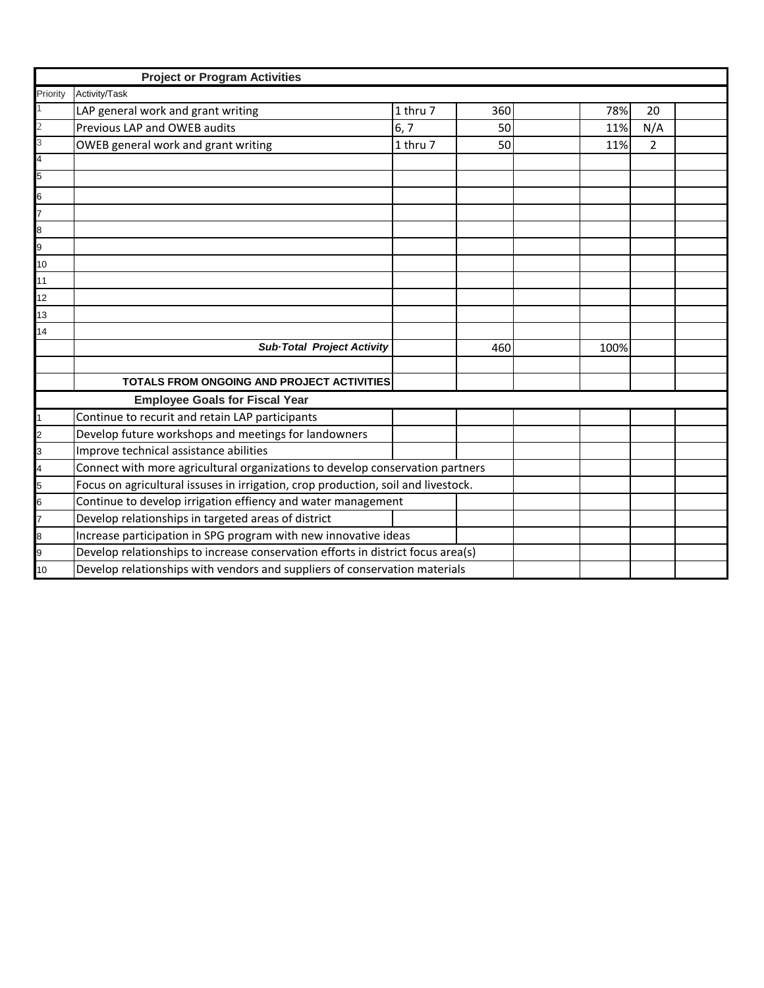|                | <b>Project or Program Activities</b>                                              |          |     |      |                |  |
|----------------|-----------------------------------------------------------------------------------|----------|-----|------|----------------|--|
| Priority       | Activity/Task                                                                     |          |     |      |                |  |
|                | LAP general work and grant writing                                                | 1 thru 7 | 360 | 78%  | 20             |  |
| $\overline{2}$ | Previous LAP and OWEB audits                                                      | 6, 7     | 50  | 11%  | N/A            |  |
| 3              | OWEB general work and grant writing                                               | 1 thru 7 | 50  | 11%  | $\overline{2}$ |  |
| $\overline{4}$ |                                                                                   |          |     |      |                |  |
| 5              |                                                                                   |          |     |      |                |  |
| 6              |                                                                                   |          |     |      |                |  |
| 7              |                                                                                   |          |     |      |                |  |
| 8              |                                                                                   |          |     |      |                |  |
| 9              |                                                                                   |          |     |      |                |  |
| 10             |                                                                                   |          |     |      |                |  |
| 11             |                                                                                   |          |     |      |                |  |
| 12             |                                                                                   |          |     |      |                |  |
| 13             |                                                                                   |          |     |      |                |  |
| 14             |                                                                                   |          |     |      |                |  |
|                | <b>Sub-Total Project Activity</b>                                                 |          | 460 | 100% |                |  |
|                |                                                                                   |          |     |      |                |  |
|                | TOTALS FROM ONGOING AND PROJECT ACTIVITIES                                        |          |     |      |                |  |
|                | <b>Employee Goals for Fiscal Year</b>                                             |          |     |      |                |  |
|                | Continue to recurit and retain LAP participants                                   |          |     |      |                |  |
| $\overline{2}$ | Develop future workshops and meetings for landowners                              |          |     |      |                |  |
| 3              | Improve technical assistance abilities                                            |          |     |      |                |  |
| $\overline{A}$ | Connect with more agricultural organizations to develop conservation partners     |          |     |      |                |  |
| 5              | Focus on agricultural issuses in irrigation, crop production, soil and livestock. |          |     |      |                |  |
| 6              | Continue to develop irrigation effiency and water management                      |          |     |      |                |  |
| 7              | Develop relationships in targeted areas of district                               |          |     |      |                |  |
| 8              | Increase participation in SPG program with new innovative ideas                   |          |     |      |                |  |
| 9              | Develop relationships to increase conservation efforts in district focus area(s)  |          |     |      |                |  |
| 10             | Develop relationships with vendors and suppliers of conservation materials        |          |     |      |                |  |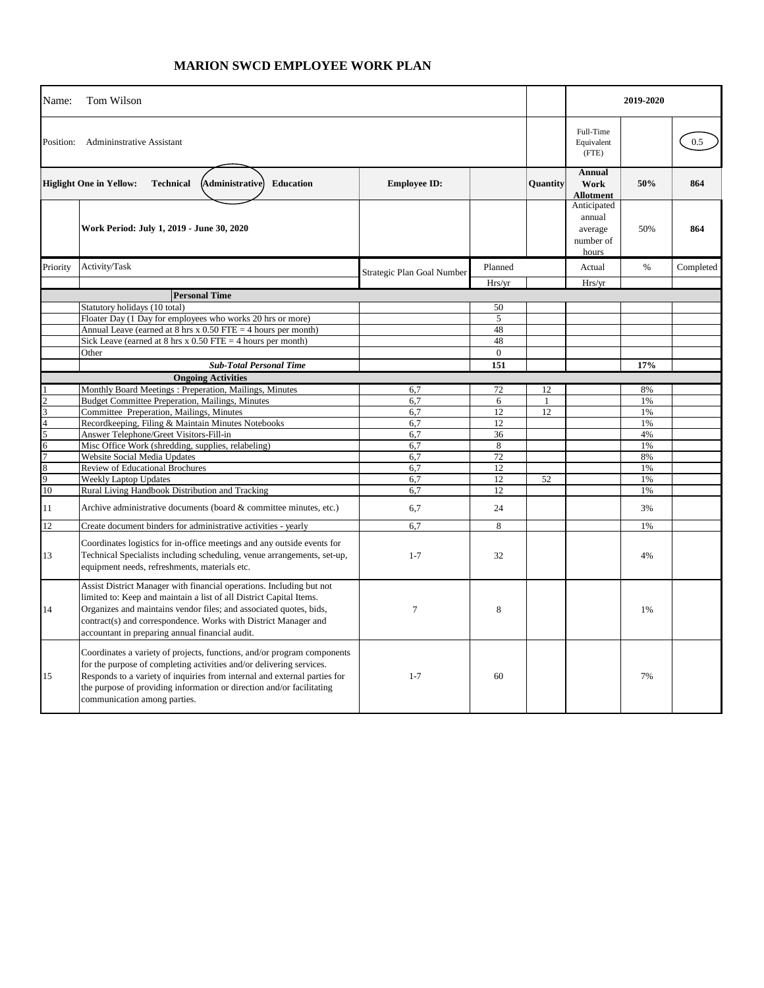| Name:       | Tom Wilson                                                                                                                                                                                                                                                                                                                              |                            |                | 2019-2020    |                                                        |          |           |
|-------------|-----------------------------------------------------------------------------------------------------------------------------------------------------------------------------------------------------------------------------------------------------------------------------------------------------------------------------------------|----------------------------|----------------|--------------|--------------------------------------------------------|----------|-----------|
| Position:   | <b>Admininstrative Assistant</b>                                                                                                                                                                                                                                                                                                        |                            |                |              | Full-Time<br>Equivalent<br>(FTE)                       |          | 0.5       |
|             | <b>Higlight One in Yellow:</b><br><b>Technical</b><br>(Administrative)<br>Education                                                                                                                                                                                                                                                     | <b>Employee ID:</b>        |                | Quantity     | <b>Annual</b><br>Work<br><b>Allotment</b>              | 50%      | 864       |
|             | Work Period: July 1, 2019 - June 30, 2020                                                                                                                                                                                                                                                                                               |                            |                |              | Anticipated<br>annual<br>average<br>number of<br>hours | 50%      | 864       |
| Priority    | Activity/Task                                                                                                                                                                                                                                                                                                                           |                            | Planned        |              | Actual                                                 | $\%$     | Completed |
|             |                                                                                                                                                                                                                                                                                                                                         | Strategic Plan Goal Number | Hrs/yr         |              | Hrs/yr                                                 |          |           |
|             | <b>Personal Time</b>                                                                                                                                                                                                                                                                                                                    |                            |                |              |                                                        |          |           |
|             | Statutory holidays (10 total)                                                                                                                                                                                                                                                                                                           |                            | 50             |              |                                                        |          |           |
|             | Floater Day (1 Day for employees who works 20 hrs or more)                                                                                                                                                                                                                                                                              |                            | 5              |              |                                                        |          |           |
|             | Annual Leave (earned at $8 \text{ hrs} \times 0.50 \text{ FTE} = 4 \text{ hours per month}$ )                                                                                                                                                                                                                                           |                            | 48             |              |                                                        |          |           |
|             | Sick Leave (earned at $8 \text{ hrs} \times 0.50 \text{ FTE} = 4 \text{ hours per month}$ )                                                                                                                                                                                                                                             |                            | 48             |              |                                                        |          |           |
|             | Other                                                                                                                                                                                                                                                                                                                                   |                            | $\overline{0}$ |              |                                                        |          |           |
|             | <b>Sub-Total Personal Time</b>                                                                                                                                                                                                                                                                                                          |                            | 151            |              |                                                        | 17%      |           |
|             | <b>Ongoing Activities</b>                                                                                                                                                                                                                                                                                                               |                            |                |              |                                                        |          |           |
|             | Monthly Board Meetings: Preperation, Mailings, Minutes                                                                                                                                                                                                                                                                                  | 6,7                        | 72             | 12           |                                                        | 8%       |           |
|             | <b>Budget Committee Preperation, Mailings, Minutes</b>                                                                                                                                                                                                                                                                                  | 6,7                        | 6              | $\mathbf{1}$ |                                                        | 1%       |           |
|             | Committee Preperation, Mailings, Minutes                                                                                                                                                                                                                                                                                                | 6,7<br>6,7                 | 12<br>12       | 12           |                                                        | 1%<br>1% |           |
|             | Recordkeeping, Filing & Maintain Minutes Notebooks<br>Answer Telephone/Greet Visitors-Fill-in                                                                                                                                                                                                                                           | 6,7                        | 36             |              |                                                        | 4%       |           |
| 6           | Misc Office Work (shredding, supplies, relabeling)                                                                                                                                                                                                                                                                                      | 6,7                        | 8              |              |                                                        | 1%       |           |
|             | Website Social Media Updates                                                                                                                                                                                                                                                                                                            | 6,7                        | 72             |              |                                                        | 8%       |           |
|             | Review of Educational Brochures                                                                                                                                                                                                                                                                                                         | 6.7                        | 12             |              |                                                        | 1%       |           |
| $\mathbf Q$ | <b>Weekly Laptop Updates</b>                                                                                                                                                                                                                                                                                                            | 6.7                        | 12             | 52           |                                                        | 1%       |           |
| 10          | Rural Living Handbook Distribution and Tracking                                                                                                                                                                                                                                                                                         | 6,7                        | 12             |              |                                                        | 1%       |           |
| 11          | Archive administrative documents (board & committee minutes, etc.)                                                                                                                                                                                                                                                                      | 6,7                        | 24             |              |                                                        | 3%       |           |
| 12          | Create document binders for administrative activities - yearly                                                                                                                                                                                                                                                                          | 6.7                        | 8              |              |                                                        | 1%       |           |
| 13          | Coordinates logistics for in-office meetings and any outside events for<br>Technical Specialists including scheduling, venue arrangements, set-up,<br>equipment needs, refreshments, materials etc.                                                                                                                                     | $1 - 7$                    | 32             |              |                                                        | 4%       |           |
| 14          | Assist District Manager with financial operations. Including but not<br>limited to: Keep and maintain a list of all District Capital Items.<br>Organizes and maintains vendor files; and associated quotes, bids,<br>contract(s) and correspondence. Works with District Manager and<br>accountant in preparing annual financial audit. | $\tau$                     | 8              |              |                                                        | 1%       |           |
| 15          | Coordinates a variety of projects, functions, and/or program components<br>for the purpose of completing activities and/or delivering services.<br>Responds to a variety of inquiries from internal and external parties for<br>the purpose of providing information or direction and/or facilitating<br>communication among parties.   | $1 - 7$                    | 60             |              |                                                        | 7%       |           |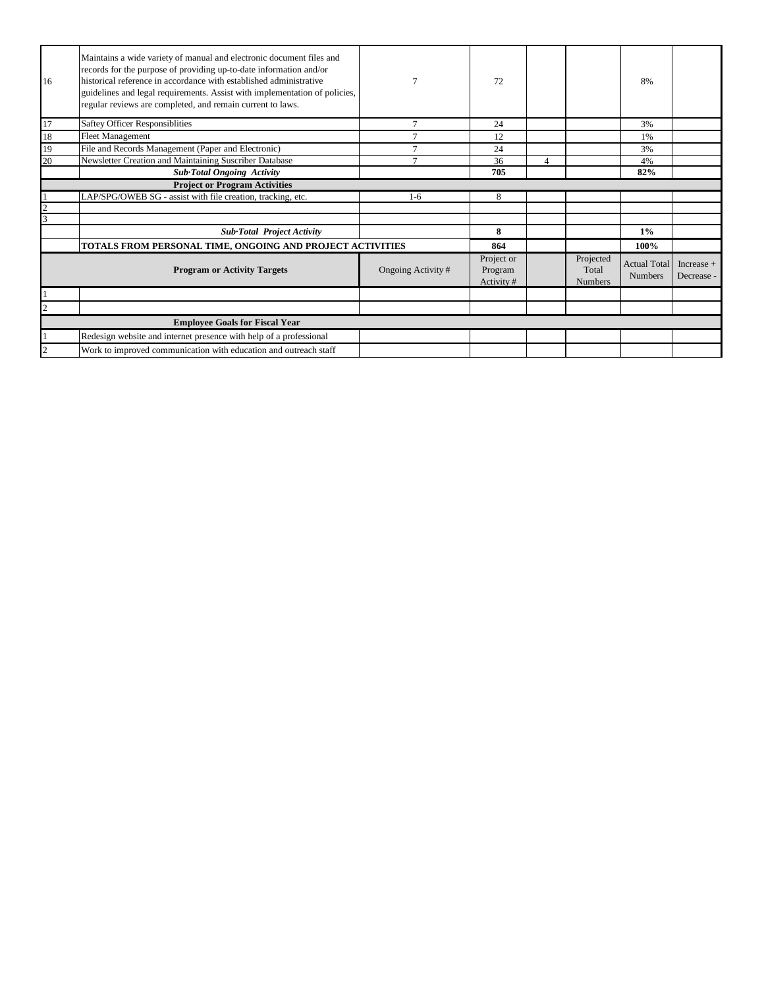| 16                                 | Maintains a wide variety of manual and electronic document files and<br>records for the purpose of providing up-to-date information and/or<br>historical reference in accordance with established administrative<br>guidelines and legal requirements. Assist with implementation of policies,<br>regular reviews are completed, and remain current to laws. | 7                  | 72                                 |                |                                      | 8%                                    |                            |
|------------------------------------|--------------------------------------------------------------------------------------------------------------------------------------------------------------------------------------------------------------------------------------------------------------------------------------------------------------------------------------------------------------|--------------------|------------------------------------|----------------|--------------------------------------|---------------------------------------|----------------------------|
| 17                                 | Saftey Officer Responsiblities                                                                                                                                                                                                                                                                                                                               | $\tau$             | 24                                 |                |                                      | 3%                                    |                            |
| 18                                 | <b>Fleet Management</b>                                                                                                                                                                                                                                                                                                                                      |                    | 12                                 |                |                                      | 1%                                    |                            |
| 19                                 | File and Records Management (Paper and Electronic)                                                                                                                                                                                                                                                                                                           |                    | 24                                 |                |                                      | 3%                                    |                            |
| 20                                 | Newsletter Creation and Maintaining Suscriber Database                                                                                                                                                                                                                                                                                                       |                    | 36                                 | $\overline{4}$ |                                      | 4%                                    |                            |
|                                    | <b>Sub-Total Ongoing Activity</b>                                                                                                                                                                                                                                                                                                                            |                    | 705                                |                |                                      | 82%                                   |                            |
|                                    | <b>Project or Program Activities</b>                                                                                                                                                                                                                                                                                                                         |                    |                                    |                |                                      |                                       |                            |
|                                    | LAP/SPG/OWEB SG - assist with file creation, tracking, etc.                                                                                                                                                                                                                                                                                                  | $1-6$              | 8                                  |                |                                      |                                       |                            |
|                                    |                                                                                                                                                                                                                                                                                                                                                              |                    |                                    |                |                                      |                                       |                            |
|                                    |                                                                                                                                                                                                                                                                                                                                                              |                    |                                    |                |                                      |                                       |                            |
|                                    | Sub-Total Project Activity                                                                                                                                                                                                                                                                                                                                   |                    | 8                                  |                |                                      | $1\%$                                 |                            |
|                                    | TOTALS FROM PERSONAL TIME, ONGOING AND PROJECT ACTIVITIES                                                                                                                                                                                                                                                                                                    |                    | 864                                |                |                                      | 100%                                  |                            |
| <b>Program or Activity Targets</b> |                                                                                                                                                                                                                                                                                                                                                              | Ongoing Activity # | Project or<br>Program<br>Activity# |                | Projected<br>Total<br><b>Numbers</b> | <b>Actual Total</b><br><b>Numbers</b> | Increase $+$<br>Decrease - |
|                                    |                                                                                                                                                                                                                                                                                                                                                              |                    |                                    |                |                                      |                                       |                            |
|                                    |                                                                                                                                                                                                                                                                                                                                                              |                    |                                    |                |                                      |                                       |                            |
|                                    | <b>Employee Goals for Fiscal Year</b>                                                                                                                                                                                                                                                                                                                        |                    |                                    |                |                                      |                                       |                            |
|                                    | Redesign website and internet presence with help of a professional                                                                                                                                                                                                                                                                                           |                    |                                    |                |                                      |                                       |                            |
|                                    | Work to improved communication with education and outreach staff                                                                                                                                                                                                                                                                                             |                    |                                    |                |                                      |                                       |                            |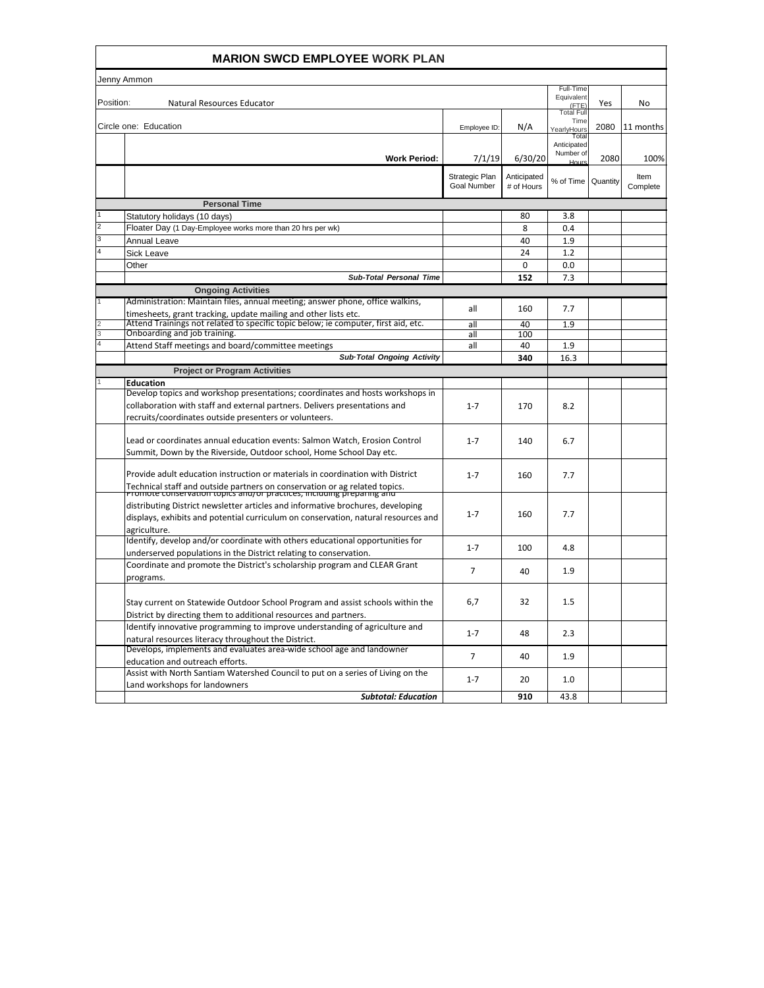|           | <b>MARION SWCD EMPLOYEE WORK PLAN</b>                                                                                                                                                                                                 |                                      |                           |                                            |      |                  |
|-----------|---------------------------------------------------------------------------------------------------------------------------------------------------------------------------------------------------------------------------------------|--------------------------------------|---------------------------|--------------------------------------------|------|------------------|
|           | Jenny Ammon                                                                                                                                                                                                                           |                                      |                           |                                            |      |                  |
| Position: | Natural Resources Educator                                                                                                                                                                                                            |                                      |                           | Full-Time<br>Equivalent<br>(FTE)           | Yes  | No               |
|           | Circle one: Education                                                                                                                                                                                                                 | Employee ID:                         | N/A                       | <b>Total Full</b><br>Time<br>YearlyHours   | 2080 | 11 months        |
|           | <b>Work Period:</b>                                                                                                                                                                                                                   | 7/1/19                               | 6/30/20                   | Total<br>Anticipated<br>Number of<br>Hours | 2080 | 100%             |
|           |                                                                                                                                                                                                                                       | Strategic Plan<br><b>Goal Number</b> | Anticipated<br># of Hours | % of Time   Quantity                       |      | Item<br>Complete |
|           | <b>Personal Time</b>                                                                                                                                                                                                                  |                                      |                           |                                            |      |                  |
|           | Statutory holidays (10 days)                                                                                                                                                                                                          |                                      | 80                        | 3.8                                        |      |                  |
| 2         | Floater Day (1 Day-Employee works more than 20 hrs per wk)                                                                                                                                                                            |                                      | 8                         | 0.4                                        |      |                  |
|           | Annual Leave                                                                                                                                                                                                                          |                                      | 40                        | 1.9                                        |      |                  |
|           | <b>Sick Leave</b>                                                                                                                                                                                                                     |                                      | 24                        | 1.2                                        |      |                  |
|           | Other                                                                                                                                                                                                                                 |                                      | 0                         | 0.0                                        |      |                  |
|           | <b>Sub-Total Personal Time</b>                                                                                                                                                                                                        |                                      | 152                       | 7.3                                        |      |                  |
|           | <b>Ongoing Activities</b>                                                                                                                                                                                                             |                                      |                           |                                            |      |                  |
|           | Administration: Maintain files, annual meeting; answer phone, office walkins,<br>timesheets, grant tracking, update mailing and other lists etc.                                                                                      | all                                  | 160                       | 7.7                                        |      |                  |
|           | Attend Trainings not related to specific topic below; ie computer, first aid, etc.<br>Onboarding and job training.                                                                                                                    | all                                  | 40                        | 1.9                                        |      |                  |
|           | Attend Staff meetings and board/committee meetings                                                                                                                                                                                    | all<br>all                           | 100<br>40                 | 1.9                                        |      |                  |
|           | Sub-Total Ongoing Activity                                                                                                                                                                                                            |                                      | 340                       | 16.3                                       |      |                  |
|           | <b>Project or Program Activities</b>                                                                                                                                                                                                  |                                      |                           |                                            |      |                  |
|           | <b>Education</b>                                                                                                                                                                                                                      |                                      |                           |                                            |      |                  |
|           | Develop topics and workshop presentations; coordinates and hosts workshops in<br>collaboration with staff and external partners. Delivers presentations and<br>recruits/coordinates outside presenters or volunteers.                 | $1 - 7$                              | 170                       | 8.2                                        |      |                  |
|           | Lead or coordinates annual education events: Salmon Watch, Erosion Control<br>Summit, Down by the Riverside, Outdoor school, Home School Day etc.                                                                                     | $1 - 7$                              | 140                       | 6.7                                        |      |                  |
|           | Provide adult education instruction or materials in coordination with District<br>Technical staff and outside partners on conservation or ag related topics.<br>Promote conservation topics and/or practices, including preparing and | $1 - 7$                              | 160                       | 7.7                                        |      |                  |
|           | distributing District newsletter articles and informative brochures, developing<br>displays, exhibits and potential curriculum on conservation, natural resources and<br>agriculture.                                                 | $1 - 7$                              | 160                       | 7.7                                        |      |                  |
|           | Identify, develop and/or coordinate with others educational opportunities for<br>underserved populations in the District relating to conservation.                                                                                    | $1 - 7$                              | 100                       | 4.8                                        |      |                  |
|           | Coordinate and promote the District's scholarship program and CLEAR Grant<br>programs.                                                                                                                                                | $\overline{7}$                       | 40                        | 1.9                                        |      |                  |
|           | Stay current on Statewide Outdoor School Program and assist schools within the<br>District by directing them to additional resources and partners.                                                                                    | 6,7                                  | 32                        | 1.5                                        |      |                  |
|           | Identify innovative programming to improve understanding of agriculture and<br>natural resources literacy throughout the District.                                                                                                    | $1 - 7$                              | 48                        | 2.3                                        |      |                  |
|           | Develops, implements and evaluates area-wide school age and landowner<br>education and outreach efforts.                                                                                                                              | 7                                    | 40                        | 1.9                                        |      |                  |
|           | Assist with North Santiam Watershed Council to put on a series of Living on the<br>Land workshops for landowners                                                                                                                      | $1 - 7$                              | 20                        | 1.0                                        |      |                  |
|           | <b>Subtotal: Education</b>                                                                                                                                                                                                            |                                      | 910                       | 43.8                                       |      |                  |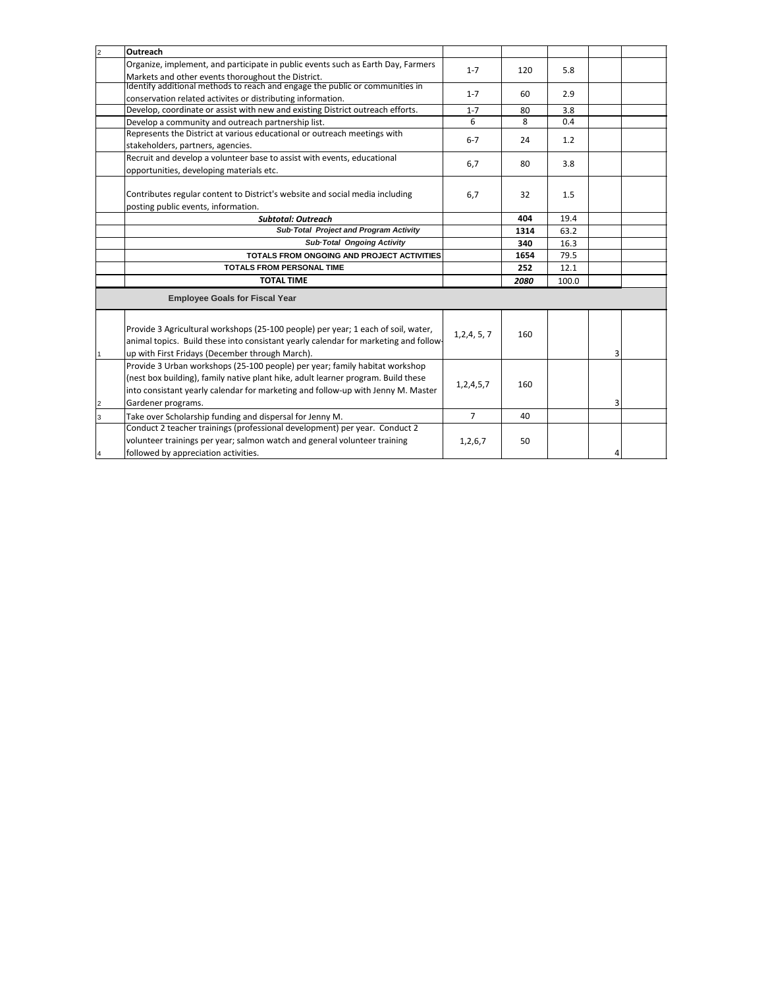| $\overline{2}$ | Outreach                                                                                                                                                                                                                                                                   |                |      |       |   |  |
|----------------|----------------------------------------------------------------------------------------------------------------------------------------------------------------------------------------------------------------------------------------------------------------------------|----------------|------|-------|---|--|
|                | Organize, implement, and participate in public events such as Earth Day, Farmers<br>Markets and other events thoroughout the District.                                                                                                                                     | $1 - 7$        | 120  | 5.8   |   |  |
|                | Identify additional methods to reach and engage the public or communities in<br>conservation related activites or distributing information.                                                                                                                                | $1 - 7$        | 60   | 2.9   |   |  |
|                | Develop, coordinate or assist with new and existing District outreach efforts.                                                                                                                                                                                             | $1 - 7$        | 80   | 3.8   |   |  |
|                | Develop a community and outreach partnership list.                                                                                                                                                                                                                         | 6              | 8    | 0.4   |   |  |
|                | Represents the District at various educational or outreach meetings with<br>stakeholders, partners, agencies.                                                                                                                                                              | $6 - 7$        | 24   | 1.2   |   |  |
|                | Recruit and develop a volunteer base to assist with events, educational<br>opportunities, developing materials etc.                                                                                                                                                        | 6,7            | 80   | 3.8   |   |  |
|                | Contributes regular content to District's website and social media including<br>posting public events, information.                                                                                                                                                        | 6,7            | 32   | 1.5   |   |  |
|                | <b>Subtotal: Outreach</b>                                                                                                                                                                                                                                                  |                | 404  | 19.4  |   |  |
|                | Sub-Total Project and Program Activity                                                                                                                                                                                                                                     |                | 1314 | 63.2  |   |  |
|                | Sub-Total Ongoing Activity                                                                                                                                                                                                                                                 |                | 340  | 16.3  |   |  |
|                | TOTALS FROM ONGOING AND PROJECT ACTIVITIES                                                                                                                                                                                                                                 |                | 1654 | 79.5  |   |  |
|                | <b>TOTALS FROM PERSONAL TIME</b>                                                                                                                                                                                                                                           |                | 252  | 12.1  |   |  |
|                | <b>TOTAL TIME</b>                                                                                                                                                                                                                                                          |                | 2080 | 100.0 |   |  |
|                | <b>Employee Goals for Fiscal Year</b>                                                                                                                                                                                                                                      |                |      |       |   |  |
|                | Provide 3 Agricultural workshops (25-100 people) per year; 1 each of soil, water,<br>animal topics. Build these into consistant yearly calendar for marketing and follow-<br>up with First Fridays (December through March).                                               | 1, 2, 4, 5, 7  | 160  |       | 3 |  |
| $\overline{2}$ | Provide 3 Urban workshops (25-100 people) per year; family habitat workshop<br>(nest box building), family native plant hike, adult learner program. Build these<br>into consistant yearly calendar for marketing and follow-up with Jenny M. Master<br>Gardener programs. | 1,2,4,5,7      | 160  |       | 3 |  |
| 3              | Take over Scholarship funding and dispersal for Jenny M.                                                                                                                                                                                                                   | $\overline{7}$ | 40   |       |   |  |
| 4              | Conduct 2 teacher trainings (professional development) per year. Conduct 2<br>volunteer trainings per year; salmon watch and general volunteer training<br>followed by appreciation activities.                                                                            | 1,2,6,7        | 50   |       | 4 |  |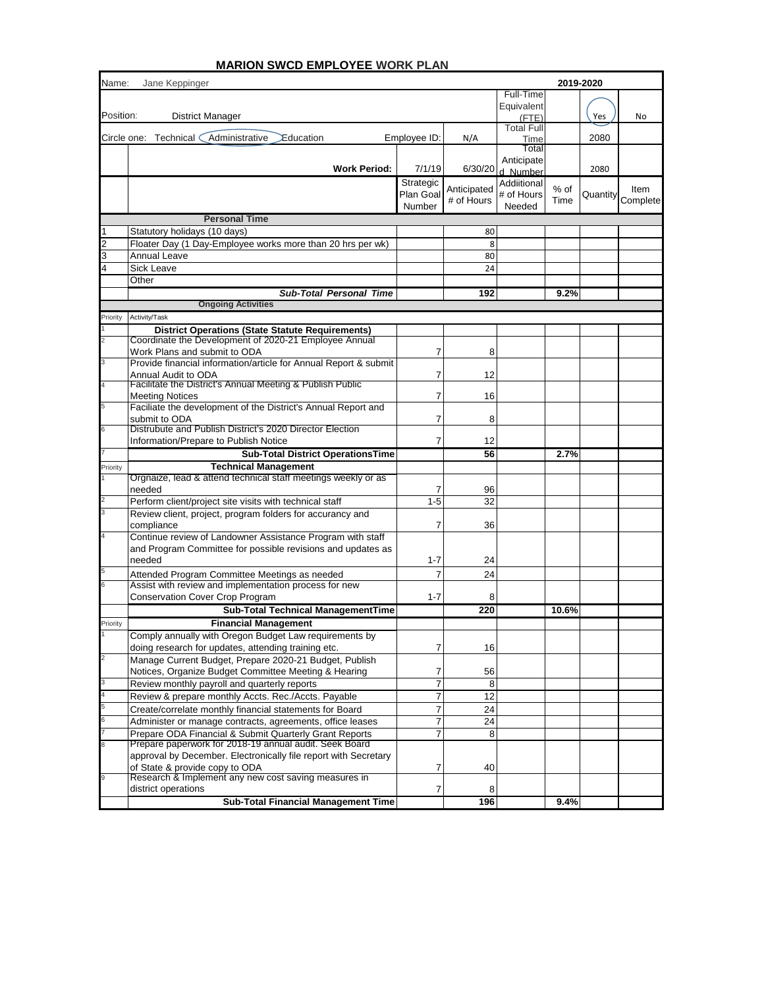| Name:     | Jane Keppinger                                                                                                   |                        |             |                           | 2019-2020 |          |          |
|-----------|------------------------------------------------------------------------------------------------------------------|------------------------|-------------|---------------------------|-----------|----------|----------|
|           |                                                                                                                  |                        |             | Full-Time                 |           |          |          |
| Position: | <b>District Manager</b>                                                                                          |                        |             | Equivalent                |           | Yes      | No       |
|           |                                                                                                                  |                        |             | (FTE)<br>Total Full       |           |          |          |
|           | Administrative<br>Circle one: Technical (<br>Education                                                           | Employee ID:           | N/A         | Time                      |           | 2080     |          |
|           |                                                                                                                  |                        |             | Total                     |           |          |          |
|           |                                                                                                                  |                        | 6/30/20     | Anticipate                |           | 2080     |          |
|           | <b>Work Period:</b>                                                                                              | 7/1/19                 |             | d Number                  |           |          |          |
|           |                                                                                                                  | Strategic<br>Plan Goal | Anticipated | Addiitional<br># of Hours | % of      | Quantity | Item     |
|           |                                                                                                                  | Number                 | # of Hours  | Needed                    | Time      |          | Complete |
|           | <b>Personal Time</b>                                                                                             |                        |             |                           |           |          |          |
|           | Statutory holidays (10 days)                                                                                     |                        | 80          |                           |           |          |          |
|           | Floater Day (1 Day-Employee works more than 20 hrs per wk)                                                       |                        | 8           |                           |           |          |          |
| 3         | Annual Leave                                                                                                     |                        | 80          |                           |           |          |          |
|           | <b>Sick Leave</b>                                                                                                |                        | 24          |                           |           |          |          |
|           | Other                                                                                                            |                        |             |                           |           |          |          |
|           | <b>Sub-Total Personal Time</b>                                                                                   |                        | 192         |                           | 9.2%      |          |          |
|           | <b>Ongoing Activities</b>                                                                                        |                        |             |                           |           |          |          |
| Priority  | Activity/Task                                                                                                    |                        |             |                           |           |          |          |
|           | <b>District Operations (State Statute Requirements)</b><br>Coordinate the Development of 2020-21 Employee Annual |                        |             |                           |           |          |          |
|           | Work Plans and submit to ODA                                                                                     | 7                      | 8           |                           |           |          |          |
|           | Provide financial information/article for Annual Report & submit                                                 |                        |             |                           |           |          |          |
|           | Annual Audit to ODA                                                                                              | 7                      | 12          |                           |           |          |          |
|           | Facilitate the District's Annual Meeting & Publish Public                                                        |                        |             |                           |           |          |          |
|           | <b>Meeting Notices</b><br>Faciliate the development of the District's Annual Report and                          | 7                      | 16          |                           |           |          |          |
|           | submit to ODA                                                                                                    | 7                      | 8           |                           |           |          |          |
|           | Distrubute and Publish District's 2020 Director Election                                                         |                        |             |                           |           |          |          |
|           | Information/Prepare to Publish Notice                                                                            | 7                      | 12          |                           |           |          |          |
|           | <b>Sub-Total District OperationsTime</b>                                                                         |                        | 56          |                           | 2.7%      |          |          |
| Priority  | <b>Technical Management</b>                                                                                      |                        |             |                           |           |          |          |
|           | Orgnaize, lead & attend technical staff meetings weekly or as                                                    |                        |             |                           |           |          |          |
|           | needed                                                                                                           | 7                      | 96          |                           |           |          |          |
|           | Perform client/project site visits with technical staff                                                          | $1 - 5$                | 32          |                           |           |          |          |
|           | Review client, project, program folders for accurancy and<br>compliance                                          | 7                      | 36          |                           |           |          |          |
|           | Continue review of Landowner Assistance Program with staff                                                       |                        |             |                           |           |          |          |
|           | and Program Committee for possible revisions and updates as                                                      |                        |             |                           |           |          |          |
|           | needed                                                                                                           | $1 - 7$                | 24          |                           |           |          |          |
|           | Attended Program Committee Meetings as needed                                                                    | 7                      | 24          |                           |           |          |          |
|           | Assist with review and implementation process for new                                                            |                        |             |                           |           |          |          |
|           | <b>Conservation Cover Crop Program</b>                                                                           | $1 - 7$                | 8           |                           |           |          |          |
|           | Sub-Total Technical ManagementTime                                                                               |                        | 220         |                           | 10.6%     |          |          |
| Priority  | <b>Financial Management</b>                                                                                      |                        |             |                           |           |          |          |
|           | Comply annually with Oregon Budget Law requirements by                                                           |                        |             |                           |           |          |          |
|           | doing research for updates, attending training etc.                                                              | 7                      | 16          |                           |           |          |          |
|           | Manage Current Budget, Prepare 2020-21 Budget, Publish                                                           |                        |             |                           |           |          |          |
|           | Notices, Organize Budget Committee Meeting & Hearing<br>Review monthly payroll and quarterly reports             | 7<br>7                 | 56<br>8     |                           |           |          |          |
|           | Review & prepare monthly Accts. Rec./Accts. Payable                                                              | 7                      | 12          |                           |           |          |          |
|           | Create/correlate monthly financial statements for Board                                                          | 7                      | 24          |                           |           |          |          |
|           | Administer or manage contracts, agreements, office leases                                                        | 7                      | 24          |                           |           |          |          |
|           | Prepare ODA Financial & Submit Quarterly Grant Reports                                                           | 7                      | 8           |                           |           |          |          |
|           | Prepare paperwork for 2018-19 annual audit. Seek Board                                                           |                        |             |                           |           |          |          |
|           | approval by December. Electronically file report with Secretary                                                  |                        |             |                           |           |          |          |
|           | of State & provide copy to ODA<br>Research & Implement any new cost saving measures in                           | 7                      | 40          |                           |           |          |          |
|           | district operations                                                                                              | 7                      | 8           |                           |           |          |          |
|           | Sub-Total Financial Management Time                                                                              |                        | 196         |                           | 9.4%      |          |          |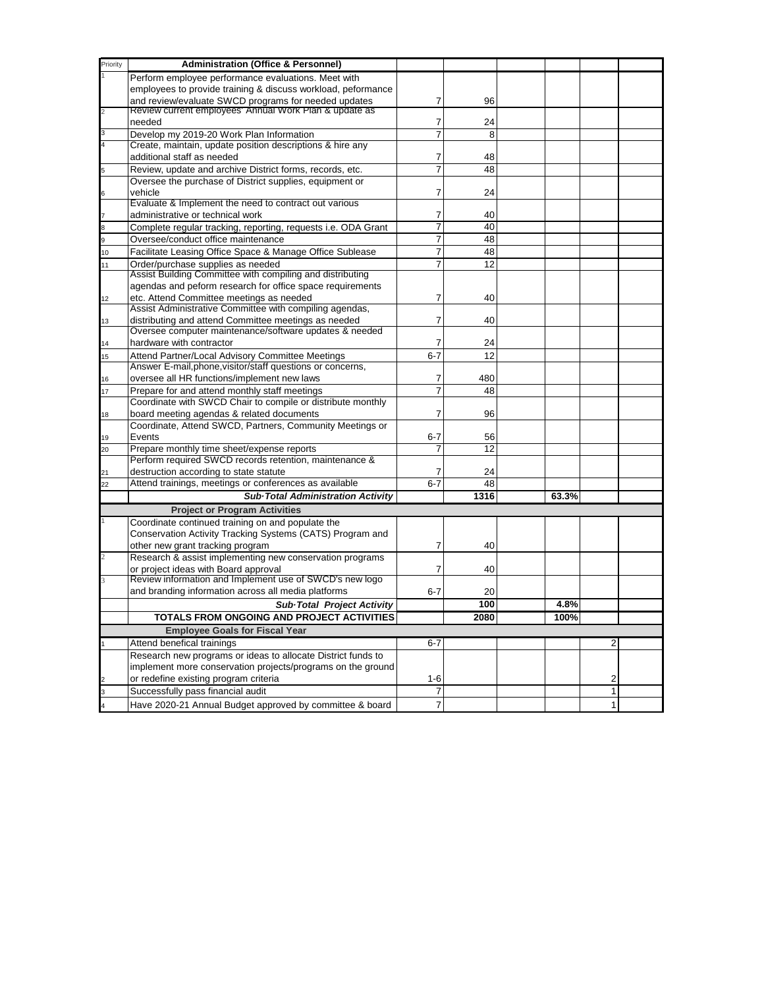| Priority | <b>Administration (Office &amp; Personnel)</b>                                                                 |                |      |       |              |  |
|----------|----------------------------------------------------------------------------------------------------------------|----------------|------|-------|--------------|--|
|          | Perform employee performance evaluations. Meet with                                                            |                |      |       |              |  |
|          |                                                                                                                |                |      |       |              |  |
|          | employees to provide training & discuss workload, peformance                                                   |                |      |       |              |  |
|          | and review/evaluate SWCD programs for needed updates<br>Review current employees' Annual Work Plan & update as | 7              | 96   |       |              |  |
|          | needed                                                                                                         | 7              | 24   |       |              |  |
| 3        |                                                                                                                | $\overline{7}$ | 8    |       |              |  |
|          | Develop my 2019-20 Work Plan Information<br>Create, maintain, update position descriptions & hire any          |                |      |       |              |  |
|          | additional staff as needed                                                                                     |                |      |       |              |  |
|          |                                                                                                                | 7              | 48   |       |              |  |
|          | Review, update and archive District forms, records, etc.                                                       | $\overline{7}$ | 48   |       |              |  |
|          | Oversee the purchase of District supplies, equipment or                                                        |                |      |       |              |  |
|          | vehicle                                                                                                        | 7              | 24   |       |              |  |
|          | Evaluate & Implement the need to contract out various                                                          |                |      |       |              |  |
|          | administrative or technical work                                                                               | 7              | 40   |       |              |  |
|          | Complete regular tracking, reporting, requests i.e. ODA Grant                                                  | 7              | 40   |       |              |  |
|          | Oversee/conduct office maintenance                                                                             | 7              | 48   |       |              |  |
| 10       | Facilitate Leasing Office Space & Manage Office Sublease                                                       | $\overline{7}$ | 48   |       |              |  |
| 11       | Order/purchase supplies as needed                                                                              | 7              | 12   |       |              |  |
|          | Assist Building Committee with compiling and distributing                                                      |                |      |       |              |  |
|          | agendas and peform research for office space requirements                                                      |                |      |       |              |  |
| 12       | etc. Attend Committee meetings as needed                                                                       | 7              | 40   |       |              |  |
|          | Assist Administrative Committee with compiling agendas,                                                        |                |      |       |              |  |
| 13       | distributing and attend Committee meetings as needed                                                           | 7              | 40   |       |              |  |
|          | Oversee computer maintenance/software updates & needed                                                         |                |      |       |              |  |
| 14       | hardware with contractor                                                                                       | 7              | 24   |       |              |  |
| 15       | Attend Partner/Local Advisory Committee Meetings                                                               | $6 - 7$        | 12   |       |              |  |
|          | Answer E-mail, phone, visitor/staff questions or concerns,                                                     |                |      |       |              |  |
| 16       | oversee all HR functions/implement new laws                                                                    | 7              | 480  |       |              |  |
| 17       | Prepare for and attend monthly staff meetings                                                                  | $\overline{7}$ | 48   |       |              |  |
|          | Coordinate with SWCD Chair to compile or distribute monthly                                                    |                |      |       |              |  |
| 18       | board meeting agendas & related documents                                                                      | 7              | 96   |       |              |  |
|          | Coordinate, Attend SWCD, Partners, Community Meetings or                                                       |                |      |       |              |  |
| 19       | Events                                                                                                         | $6 - 7$        | 56   |       |              |  |
| 20       | Prepare monthly time sheet/expense reports                                                                     | 7              | 12   |       |              |  |
|          | Perform required SWCD records retention, maintenance &                                                         |                |      |       |              |  |
| 21       | destruction according to state statute                                                                         | 7              | 24   |       |              |  |
| 22       | Attend trainings, meetings or conferences as available                                                         | $6 - 7$        | 48   |       |              |  |
|          | <b>Sub-Total Administration Activity</b>                                                                       |                | 1316 | 63.3% |              |  |
|          | <b>Project or Program Activities</b>                                                                           |                |      |       |              |  |
|          | Coordinate continued training on and populate the                                                              |                |      |       |              |  |
|          | Conservation Activity Tracking Systems (CATS) Program and                                                      |                |      |       |              |  |
|          | other new grant tracking program                                                                               | 7              | 40   |       |              |  |
|          | Research & assist implementing new conservation programs                                                       |                |      |       |              |  |
|          | or project ideas with Board approval                                                                           | 7              | 40   |       |              |  |
|          | Review information and Implement use of SWCD's new logo                                                        |                |      |       |              |  |
|          | and branding information across all media platforms                                                            | $6 - 7$        | 20   |       |              |  |
|          |                                                                                                                |                | 100  |       |              |  |
|          | Sub-Total Project Activity                                                                                     |                |      | 4.8%  |              |  |
|          | TOTALS FROM ONGOING AND PROJECT ACTIVITIES                                                                     |                | 2080 | 100%  |              |  |
|          | <b>Employee Goals for Fiscal Year</b>                                                                          |                |      |       |              |  |
|          | Attend benefical trainings                                                                                     | $6 - 7$        |      |       | 2            |  |
|          | Research new programs or ideas to allocate District funds to                                                   |                |      |       |              |  |
|          | implement more conservation projects/programs on the ground                                                    |                |      |       |              |  |
|          | or redefine existing program criteria                                                                          | $1 - 6$        |      |       | 2            |  |
|          | Successfully pass financial audit                                                                              | $\overline{7}$ |      |       | $\mathbf{1}$ |  |
|          | Have 2020-21 Annual Budget approved by committee & board                                                       | $\overline{7}$ |      |       | $\mathbf{1}$ |  |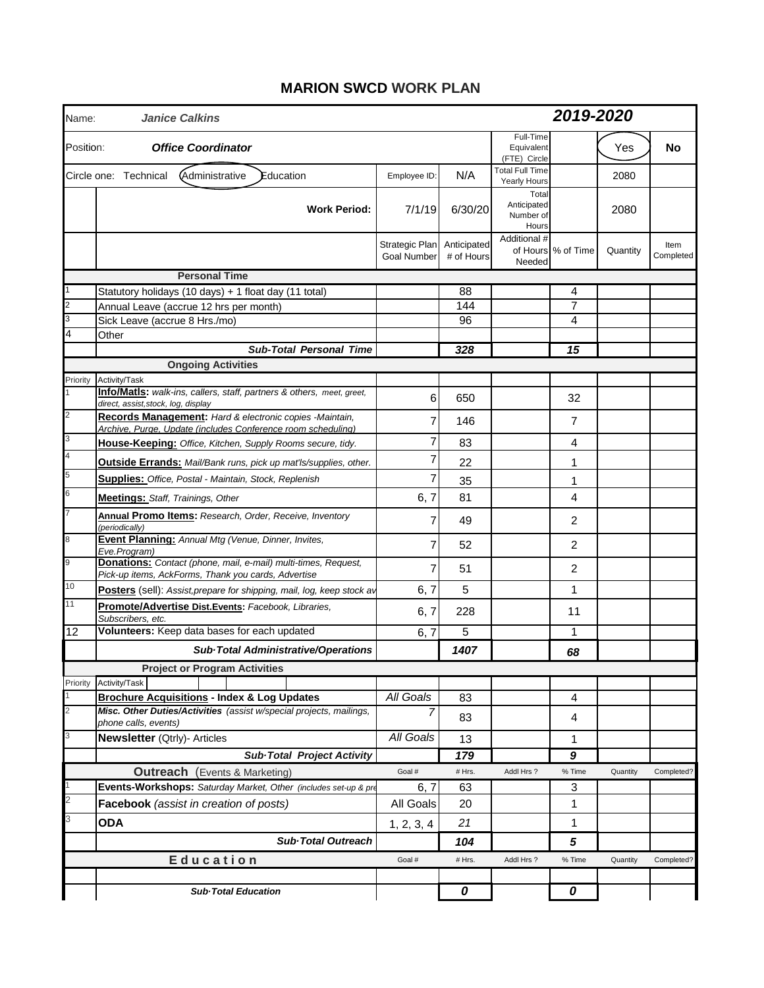### **MARION SWCD WORK PLAN**

| Name:     | <b>Janice Calkins</b>                                                                                                         |                                                  |            |                                            | 2019-2020          |          |                   |  |  |
|-----------|-------------------------------------------------------------------------------------------------------------------------------|--------------------------------------------------|------------|--------------------------------------------|--------------------|----------|-------------------|--|--|
| Position: | <b>Office Coordinator</b>                                                                                                     |                                                  |            | Full-Time<br>Equivalent<br>(FTE) Circle    |                    | Yes      | No                |  |  |
|           | Administrative<br>Circle one: Technical<br>Education                                                                          | Employee ID:                                     | N/A        | <b>Total Full Time</b><br>Yearly Hours     |                    | 2080     |                   |  |  |
|           | <b>Work Period:</b>                                                                                                           | 7/1/19                                           | 6/30/20    | Total<br>Anticipated<br>Number of<br>Hours |                    | 2080     |                   |  |  |
|           |                                                                                                                               | Strategic Plan Anticipated<br><b>Goal Number</b> | # of Hours | Additional #<br>Needed                     | of Hours % of Time | Quantity | Item<br>Completed |  |  |
|           | <b>Personal Time</b>                                                                                                          |                                                  |            |                                            |                    |          |                   |  |  |
|           | Statutory holidays (10 days) + 1 float day (11 total)                                                                         |                                                  | 88         |                                            | 4                  |          |                   |  |  |
|           | Annual Leave (accrue 12 hrs per month)                                                                                        |                                                  | 144        |                                            | $\overline{7}$     |          |                   |  |  |
|           | Sick Leave (accrue 8 Hrs./mo)                                                                                                 |                                                  | 96         |                                            | 4                  |          |                   |  |  |
|           | Other                                                                                                                         |                                                  |            |                                            |                    |          |                   |  |  |
|           | <b>Sub-Total Personal Time</b>                                                                                                |                                                  | 328        |                                            | 15                 |          |                   |  |  |
|           | <b>Ongoing Activities</b>                                                                                                     |                                                  |            |                                            |                    |          |                   |  |  |
| Priority  | Activity/Task<br>Info/MatIs: walk-ins, callers, staff, partners & others, meet, greet,<br>direct, assist, stock, log, display | 6                                                | 650        |                                            | 32                 |          |                   |  |  |
|           | Records Management: Hard & electronic copies -Maintain,<br>Archive, Purge, Update (includes Conference room scheduling)       | $\overline{7}$                                   | 146        |                                            | $\overline{7}$     |          |                   |  |  |
|           | House-Keeping: Office, Kitchen, Supply Rooms secure, tidy.                                                                    | $\overline{7}$                                   | 83         |                                            | 4                  |          |                   |  |  |
|           | <b>Outside Errands:</b> Mail/Bank runs, pick up mat'ls/supplies, other.                                                       | 7                                                | 22         |                                            | 1                  |          |                   |  |  |
|           | <b>Supplies:</b> Office, Postal - Maintain, Stock, Replenish                                                                  | 7                                                | 35         |                                            | 1                  |          |                   |  |  |
|           | Meetings: Staff, Trainings, Other                                                                                             | 6, 7                                             | 81         |                                            | 4                  |          |                   |  |  |
|           | Annual Promo Items: Research, Order, Receive, Inventory<br>(periodically)                                                     | 7                                                | 49         |                                            | $\overline{2}$     |          |                   |  |  |
|           | Event Planning: Annual Mtg (Venue, Dinner, Invites,<br>Eve.Program)                                                           | $\overline{7}$                                   | 52         |                                            | $\overline{2}$     |          |                   |  |  |
|           | Donations: Contact (phone, mail, e-mail) multi-times, Request,<br>Pick-up items, AckForms, Thank you cards, Advertise         | 7                                                | 51         |                                            | 2                  |          |                   |  |  |
| 10        | Posters (sell): Assist, prepare for shipping, mail, log, keep stock av                                                        | 6, 7                                             | 5          |                                            | $\mathbf{1}$       |          |                   |  |  |
| 11        | Promote/Advertise Dist.Events: Facebook, Libraries,<br>Subscribers, etc.                                                      | 6, 7                                             | 228        |                                            | 11                 |          |                   |  |  |
| 12        | Volunteers: Keep data bases for each updated                                                                                  | 6, 7                                             | 5          |                                            | $\mathbf{1}$       |          |                   |  |  |
|           | Sub-Total Administrative/Operations                                                                                           |                                                  | 1407       |                                            | 68                 |          |                   |  |  |
|           | <b>Project or Program Activities</b>                                                                                          |                                                  |            |                                            |                    |          |                   |  |  |
| Priority  | Activity/Task                                                                                                                 |                                                  |            |                                            |                    |          |                   |  |  |
|           | <b>Brochure Acquisitions - Index &amp; Log Updates</b><br>Misc. Other Duties/Activities (assist w/special projects, mailings, | All Goals<br>$\overline{7}$                      | 83<br>83   |                                            | 4<br>4             |          |                   |  |  |
|           | phone calls, events)<br>Newsletter (Qtrly)- Articles                                                                          | All Goals                                        | 13         |                                            | 1                  |          |                   |  |  |
|           | <b>Sub-Total Project Activity</b>                                                                                             |                                                  | 179        |                                            | 9                  |          |                   |  |  |
|           | <b>Outreach</b> (Events & Marketing)                                                                                          | Goal #                                           | # Hrs.     | Addl Hrs?                                  | % Time             | Quantity | Completed?        |  |  |
|           | Events-Workshops: Saturday Market, Other (includes set-up & pre                                                               | 6, 7                                             | 63         |                                            | 3                  |          |                   |  |  |
|           | Facebook (assist in creation of posts)                                                                                        | All Goals                                        | 20         |                                            | 1                  |          |                   |  |  |
|           | <b>ODA</b>                                                                                                                    | 1, 2, 3, 4                                       | 21         |                                            | 1                  |          |                   |  |  |
|           | <b>Sub-Total Outreach</b>                                                                                                     |                                                  | 104        |                                            | 5                  |          |                   |  |  |
|           | Education                                                                                                                     | Goal #                                           | # Hrs.     | Addl Hrs?                                  | % Time             | Quantity | Completed?        |  |  |
|           | <b>Sub-Total Education</b>                                                                                                    |                                                  | 0          |                                            | 0                  |          |                   |  |  |
|           |                                                                                                                               |                                                  |            |                                            |                    |          |                   |  |  |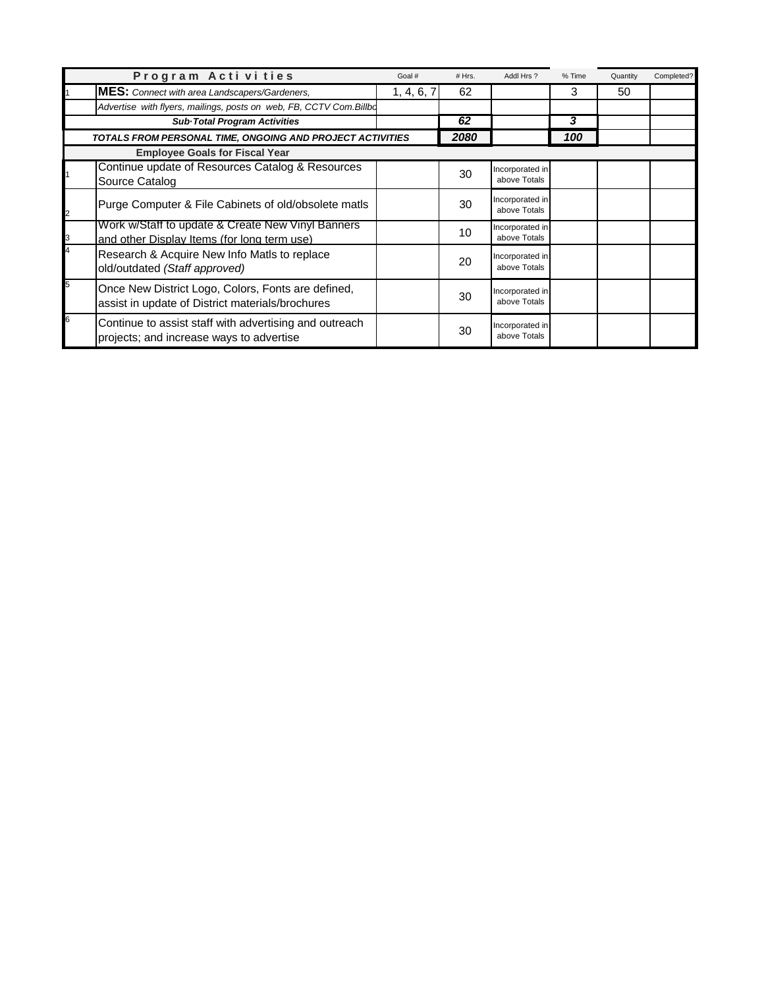|   | Program Activities                                                                                     | Goal #     | # Hrs. | Addl Hrs?                       | % Time | Quantity | Completed? |
|---|--------------------------------------------------------------------------------------------------------|------------|--------|---------------------------------|--------|----------|------------|
|   | <b>MES:</b> Connect with area Landscapers/Gardeners,                                                   | 1, 4, 6, 7 | 62     |                                 | 3      | 50       |            |
|   | Advertise with flyers, mailings, posts on web, FB, CCTV Com.Billbo                                     |            |        |                                 |        |          |            |
|   | Sub Total Program Activities                                                                           |            | 62     |                                 | 3      |          |            |
|   | TOTALS FROM PERSONAL TIME, ONGOING AND PROJECT ACTIVITIES                                              |            | 2080   |                                 | 100    |          |            |
|   | <b>Employee Goals for Fiscal Year</b>                                                                  |            |        |                                 |        |          |            |
|   | Continue update of Resources Catalog & Resources<br>Source Catalog                                     |            | 30     | Incorporated in<br>above Totals |        |          |            |
| 2 | Purge Computer & File Cabinets of old/obsolete matls                                                   |            | 30     | Incorporated in<br>above Totals |        |          |            |
| 3 | Work w/Staff to update & Create New Vinyl Banners<br>and other Display Items (for long term use)       |            | 10     | Incorporated in<br>above Totals |        |          |            |
| 4 | Research & Acquire New Info Matls to replace<br>old/outdated (Staff approved)                          |            | 20     | Incorporated in<br>above Totals |        |          |            |
| 5 | Once New District Logo, Colors, Fonts are defined,<br>assist in update of District materials/brochures |            | 30     | Incorporated in<br>above Totals |        |          |            |
| 6 | Continue to assist staff with advertising and outreach<br>projects; and increase ways to advertise     |            | 30     | Incorporated in<br>above Totals |        |          |            |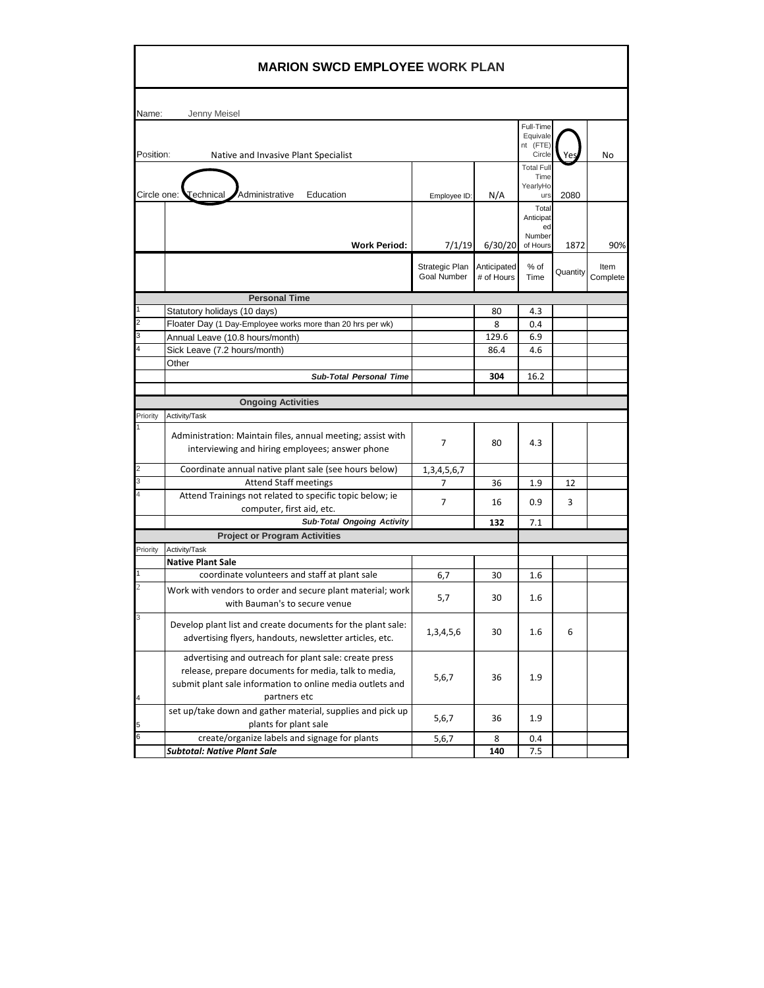|                | <b>MARION SWCD EMPLOYEE WORK PLAN</b>                       |                               |                           |                                   |          |                  |
|----------------|-------------------------------------------------------------|-------------------------------|---------------------------|-----------------------------------|----------|------------------|
| Name:          | Jenny Meisel                                                |                               |                           |                                   |          |                  |
|                |                                                             |                               |                           | Full-Time<br>Equivale<br>nt (FTE) |          |                  |
| Position:      | Native and Invasive Plant Specialist                        |                               |                           | Circle                            |          | No               |
|                |                                                             |                               |                           | <b>Total Full</b><br>Time         |          |                  |
| Circle one:    | Administrative<br>$\sf Technical$<br>Education              |                               |                           | YearlyHo                          |          |                  |
|                |                                                             | Employee ID:                  | N/A                       | urs<br>Total                      | 2080     |                  |
|                |                                                             |                               |                           | Anticipat                         |          |                  |
|                |                                                             |                               |                           | ed<br>Number                      |          |                  |
|                | <b>Work Period:</b>                                         | 7/1/19                        | 6/30/20                   | of Hours                          | 1872     | 90%              |
|                |                                                             |                               |                           |                                   |          |                  |
|                |                                                             | Strategic Plan<br>Goal Number | Anticipated<br># of Hours | % of<br>Time                      | Quantity | Item<br>Complete |
|                |                                                             |                               |                           |                                   |          |                  |
|                | <b>Personal Time</b>                                        |                               |                           |                                   |          |                  |
| 2              | Statutory holidays (10 days)                                |                               | 80                        | 4.3                               |          |                  |
|                | Floater Day (1 Day-Employee works more than 20 hrs per wk)  |                               | 8                         | 0.4                               |          |                  |
| 3              | Annual Leave (10.8 hours/month)                             |                               | 129.6                     | 6.9                               |          |                  |
|                | Sick Leave (7.2 hours/month)<br>Other                       |                               | 86.4                      | 4.6                               |          |                  |
|                |                                                             |                               | 304                       | 16.2                              |          |                  |
|                | <b>Sub-Total Personal Time</b>                              |                               |                           |                                   |          |                  |
|                | <b>Ongoing Activities</b>                                   |                               |                           |                                   |          |                  |
| Priority       | Activity/Task                                               |                               |                           |                                   |          |                  |
|                |                                                             |                               |                           |                                   |          |                  |
|                | Administration: Maintain files, annual meeting; assist with | 7                             | 80                        | 4.3                               |          |                  |
|                | interviewing and hiring employees; answer phone             |                               |                           |                                   |          |                  |
| $\overline{2}$ | Coordinate annual native plant sale (see hours below)       | 1, 3, 4, 5, 6, 7              |                           |                                   |          |                  |
| 3              | <b>Attend Staff meetings</b>                                | 7                             | 36                        | 1.9                               | 12       |                  |
|                | Attend Trainings not related to specific topic below; ie    |                               |                           |                                   |          |                  |
|                | computer, first aid, etc.                                   | $\overline{7}$                | 16                        | 0.9                               | 3        |                  |
|                | Sub-Total Ongoing Activity                                  |                               | 132                       | 7.1                               |          |                  |
|                | <b>Project or Program Activities</b>                        |                               |                           |                                   |          |                  |
| Priority       | Activity/Task                                               |                               |                           |                                   |          |                  |
|                | <b>Native Plant Sale</b>                                    |                               |                           |                                   |          |                  |
|                | coordinate volunteers and staff at plant sale               | 6,7                           | 30                        | 1.6                               |          |                  |
|                | Work with vendors to order and secure plant material; work  | 5,7                           | 30                        | 1.6                               |          |                  |
|                | with Bauman's to secure venue                               |                               |                           |                                   |          |                  |
|                | Develop plant list and create documents for the plant sale: |                               |                           |                                   |          |                  |
|                | advertising flyers, handouts, newsletter articles, etc.     | 1,3,4,5,6                     | 30                        | 1.6                               | 6        |                  |
|                |                                                             |                               |                           |                                   |          |                  |
|                | advertising and outreach for plant sale: create press       |                               |                           |                                   |          |                  |
|                | release, prepare documents for media, talk to media,        | 5,6,7                         | 36                        | 1.9                               |          |                  |
|                | submit plant sale information to online media outlets and   |                               |                           |                                   |          |                  |
| 4              | partners etc                                                |                               |                           |                                   |          |                  |
|                | set up/take down and gather material, supplies and pick up  | 5,6,7                         | 36                        | 1.9                               |          |                  |
| 5              | plants for plant sale                                       |                               |                           |                                   |          |                  |
| 6              | create/organize labels and signage for plants               | 5,6,7                         | 8                         | 0.4                               |          |                  |
|                | <b>Subtotal: Native Plant Sale</b>                          |                               | 140                       | 7.5                               |          |                  |

 $\blacksquare$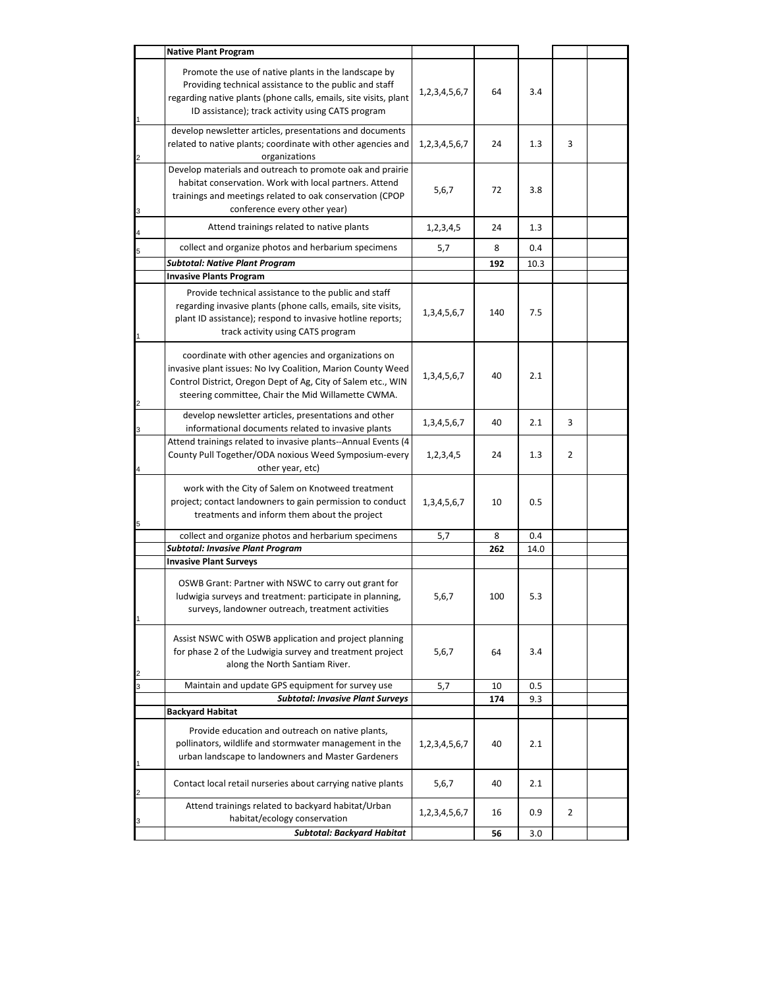|                         | <b>Native Plant Program</b>                                                                                                                                                                                                              |                     |     |      |                |  |
|-------------------------|------------------------------------------------------------------------------------------------------------------------------------------------------------------------------------------------------------------------------------------|---------------------|-----|------|----------------|--|
|                         | Promote the use of native plants in the landscape by<br>Providing technical assistance to the public and staff<br>regarding native plants (phone calls, emails, site visits, plant<br>ID assistance); track activity using CATS program  | 1, 2, 3, 4, 5, 6, 7 | 64  | 3.4  |                |  |
|                         | develop newsletter articles, presentations and documents<br>related to native plants; coordinate with other agencies and<br>organizations                                                                                                | 1, 2, 3, 4, 5, 6, 7 | 24  | 1.3  | 3              |  |
| 3                       | Develop materials and outreach to promote oak and prairie<br>habitat conservation. Work with local partners. Attend<br>trainings and meetings related to oak conservation (CPOP<br>conference every other year)                          | 5,6,7               | 72  | 3.8  |                |  |
| 4                       | Attend trainings related to native plants                                                                                                                                                                                                | 1,2,3,4,5           | 24  | 1.3  |                |  |
| 5                       | collect and organize photos and herbarium specimens                                                                                                                                                                                      | 5,7                 | 8   | 0.4  |                |  |
|                         | <b>Subtotal: Native Plant Program</b>                                                                                                                                                                                                    |                     | 192 | 10.3 |                |  |
|                         | <b>Invasive Plants Program</b>                                                                                                                                                                                                           |                     |     |      |                |  |
|                         | Provide technical assistance to the public and staff<br>regarding invasive plants (phone calls, emails, site visits,<br>plant ID assistance); respond to invasive hotline reports;<br>track activity using CATS program                  | 1,3,4,5,6,7         | 140 | 7.5  |                |  |
| 2                       | coordinate with other agencies and organizations on<br>invasive plant issues: No Ivy Coalition, Marion County Weed<br>Control District, Oregon Dept of Ag, City of Salem etc., WIN<br>steering committee, Chair the Mid Willamette CWMA. | 1, 3, 4, 5, 6, 7    | 40  | 2.1  |                |  |
| 3                       | develop newsletter articles, presentations and other<br>informational documents related to invasive plants                                                                                                                               | 1, 3, 4, 5, 6, 7    | 40  | 2.1  | 3              |  |
| 4                       | Attend trainings related to invasive plants--Annual Events (4<br>County Pull Together/ODA noxious Weed Symposium-every<br>other year, etc)                                                                                               | 1,2,3,4,5           | 24  | 1.3  | 2              |  |
| 5                       | work with the City of Salem on Knotweed treatment<br>project; contact landowners to gain permission to conduct<br>treatments and inform them about the project                                                                           | 1, 3, 4, 5, 6, 7    | 10  | 0.5  |                |  |
|                         | collect and organize photos and herbarium specimens                                                                                                                                                                                      | 5,7                 | 8   | 0.4  |                |  |
|                         | <b>Subtotal: Invasive Plant Program</b>                                                                                                                                                                                                  |                     | 262 | 14.0 |                |  |
|                         | <b>Invasive Plant Surveys</b><br>OSWB Grant: Partner with NSWC to carry out grant for<br>ludwigia surveys and treatment: participate in planning,<br>surveys, landowner outreach, treatment activities                                   | 5,6,7               | 100 | 5.3  |                |  |
| $\overline{\mathbf{c}}$ | Assist NSWC with OSWB application and project planning<br>for phase 2 of the Ludwigia survey and treatment project<br>along the North Santiam River.                                                                                     | 5,6,7               | 64  | 3.4  |                |  |
| 3                       | Maintain and update GPS equipment for survey use                                                                                                                                                                                         | 5,7                 | 10  | 0.5  |                |  |
|                         | <b>Subtotal: Invasive Plant Surveys</b><br><b>Backyard Habitat</b>                                                                                                                                                                       |                     | 174 | 9.3  |                |  |
| 1                       | Provide education and outreach on native plants,<br>pollinators, wildlife and stormwater management in the<br>urban landscape to landowners and Master Gardeners                                                                         | 1, 2, 3, 4, 5, 6, 7 | 40  | 2.1  |                |  |
| 2                       | Contact local retail nurseries about carrying native plants                                                                                                                                                                              | 5,6,7               | 40  | 2.1  |                |  |
|                         | Attend trainings related to backyard habitat/Urban<br>habitat/ecology conservation                                                                                                                                                       | 1,2,3,4,5,6,7       | 16  | 0.9  | $\overline{2}$ |  |
|                         | <b>Subtotal: Backyard Habitat</b>                                                                                                                                                                                                        |                     | 56  | 3.0  |                |  |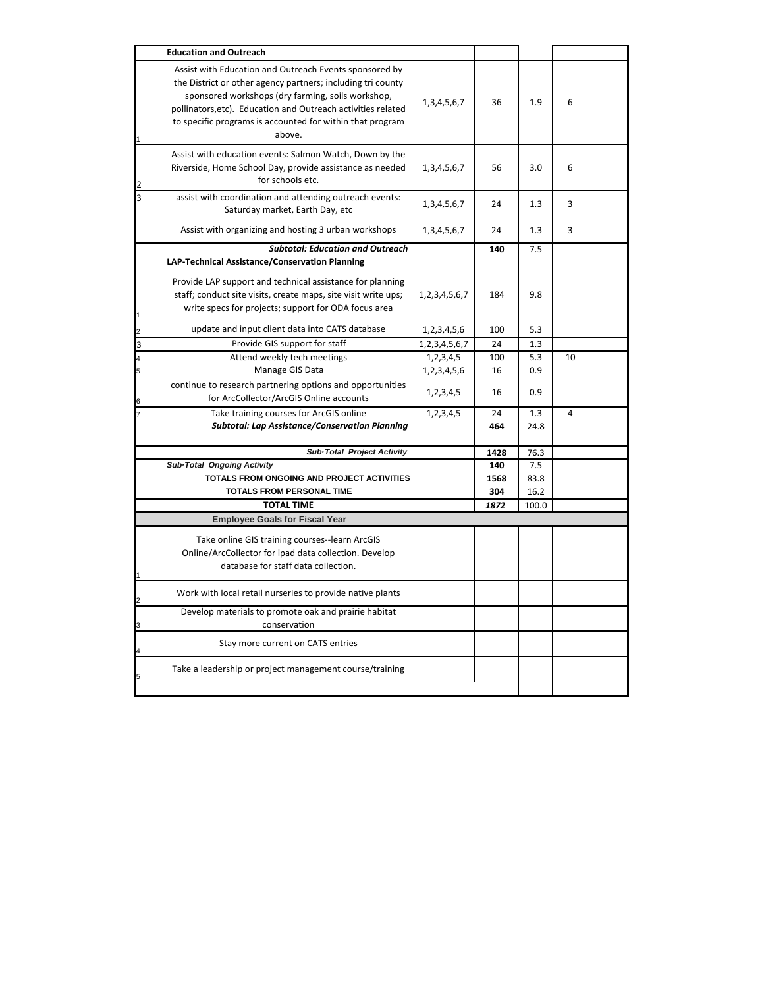|                | <b>Education and Outreach</b>                                                                                                                                                                                                                                                                                     |                     |             |             |                |  |
|----------------|-------------------------------------------------------------------------------------------------------------------------------------------------------------------------------------------------------------------------------------------------------------------------------------------------------------------|---------------------|-------------|-------------|----------------|--|
| 1              | Assist with Education and Outreach Events sponsored by<br>the District or other agency partners; including tri county<br>sponsored workshops (dry farming, soils workshop,<br>pollinators, etc). Education and Outreach activities related<br>to specific programs is accounted for within that program<br>above. | 1, 3, 4, 5, 6, 7    | 36          | 1.9         | 6              |  |
| $\overline{2}$ | Assist with education events: Salmon Watch, Down by the<br>Riverside, Home School Day, provide assistance as needed<br>for schools etc.                                                                                                                                                                           | 1, 3, 4, 5, 6, 7    | 56          | 3.0         | 6              |  |
| З              | assist with coordination and attending outreach events:<br>Saturday market, Earth Day, etc                                                                                                                                                                                                                        | 1, 3, 4, 5, 6, 7    | 24          | 1.3         | 3              |  |
|                | Assist with organizing and hosting 3 urban workshops                                                                                                                                                                                                                                                              | 1, 3, 4, 5, 6, 7    | 24          | 1.3         | 3              |  |
|                | <b>Subtotal: Education and Outreach</b>                                                                                                                                                                                                                                                                           |                     | 140         | 7.5         |                |  |
| $\overline{1}$ | LAP-Technical Assistance/Conservation Planning<br>Provide LAP support and technical assistance for planning<br>staff; conduct site visits, create maps, site visit write ups;<br>write specs for projects; support for ODA focus area                                                                             | 1, 2, 3, 4, 5, 6, 7 | 184         | 9.8         |                |  |
| $\overline{c}$ | update and input client data into CATS database                                                                                                                                                                                                                                                                   | 1,2,3,4,5,6         | 100         | 5.3         |                |  |
| 3              | Provide GIS support for staff                                                                                                                                                                                                                                                                                     | 1, 2, 3, 4, 5, 6, 7 | 24          | 1.3         |                |  |
| 4              | Attend weekly tech meetings                                                                                                                                                                                                                                                                                       | 1,2,3,4,5           | 100         | 5.3         | 10             |  |
| 5              | Manage GIS Data                                                                                                                                                                                                                                                                                                   | 1,2,3,4,5,6         | 16          | 0.9         |                |  |
| 6              | continue to research partnering options and opportunities<br>for ArcCollector/ArcGIS Online accounts                                                                                                                                                                                                              | 1,2,3,4,5           | 16          | 0.9         |                |  |
|                | Take training courses for ArcGIS online                                                                                                                                                                                                                                                                           | 1,2,3,4,5           | 24          | 1.3         | $\overline{4}$ |  |
|                | <b>Subtotal: Lap Assistance/Conservation Planning</b>                                                                                                                                                                                                                                                             |                     | 464         | 24.8        |                |  |
|                | Sub-Total Project Activity<br>Sub-Total Ongoing Activity                                                                                                                                                                                                                                                          |                     | 1428<br>140 | 76.3<br>7.5 |                |  |
|                | TOTALS FROM ONGOING AND PROJECT ACTIVITIES<br><b>TOTALS FROM PERSONAL TIME</b>                                                                                                                                                                                                                                    |                     | 1568        | 83.8        |                |  |
|                | <b>TOTAL TIME</b>                                                                                                                                                                                                                                                                                                 |                     | 304         | 16.2        |                |  |
|                |                                                                                                                                                                                                                                                                                                                   |                     | 1872        | 100.0       |                |  |
| $\overline{1}$ | <b>Employee Goals for Fiscal Year</b><br>Take online GIS training courses--learn ArcGIS<br>Online/ArcCollector for ipad data collection. Develop<br>database for staff data collection.                                                                                                                           |                     |             |             |                |  |
| $\overline{2}$ | Work with local retail nurseries to provide native plants                                                                                                                                                                                                                                                         |                     |             |             |                |  |
| 3              | Develop materials to promote oak and prairie habitat<br>conservation                                                                                                                                                                                                                                              |                     |             |             |                |  |
| 4              | Stay more current on CATS entries                                                                                                                                                                                                                                                                                 |                     |             |             |                |  |
|                | Take a leadership or project management course/training                                                                                                                                                                                                                                                           |                     |             |             |                |  |
|                |                                                                                                                                                                                                                                                                                                                   |                     |             |             |                |  |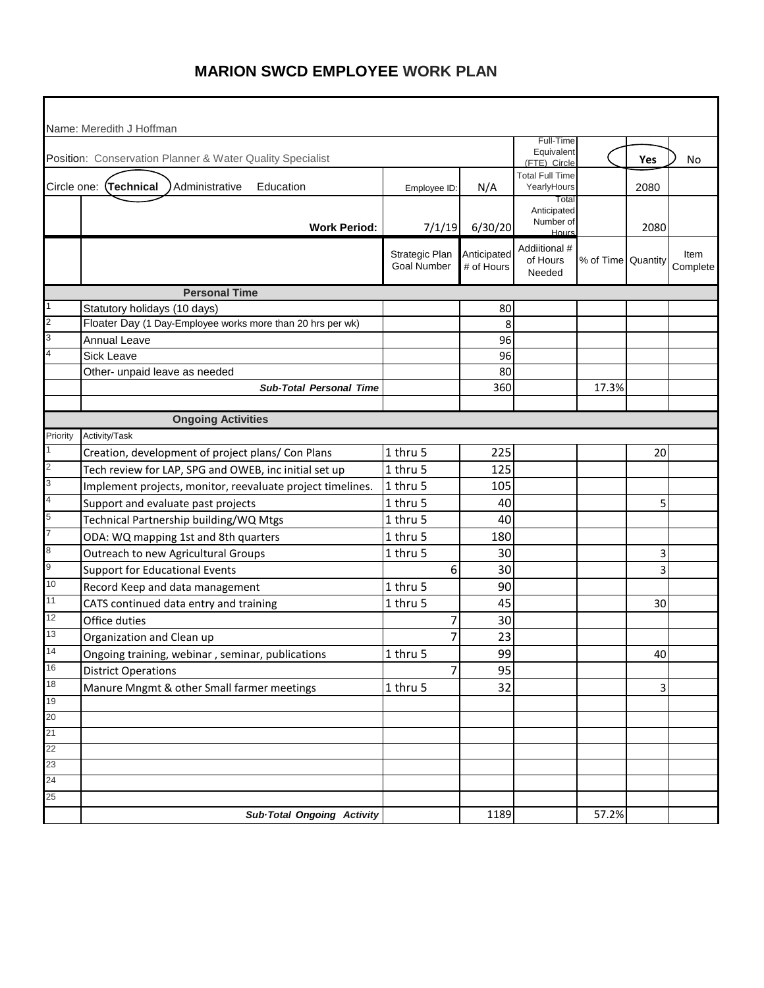|                | Name: Meredith J Hoffman                                   |                                      | Full-Time                 |                                            |                    |      |                  |
|----------------|------------------------------------------------------------|--------------------------------------|---------------------------|--------------------------------------------|--------------------|------|------------------|
|                | Position: Conservation Planner & Water Quality Specialist  |                                      |                           | Equivalent<br>(FTE) Circle                 |                    | Yes  | No               |
|                | Circle one: (Technical<br>Administrative<br>Education      | Employee ID:                         | N/A                       | <b>Total Full Time</b><br>YearlyHours      |                    | 2080 |                  |
|                | <b>Work Period:</b>                                        | 7/1/19                               | 6/30/20                   | Total<br>Anticipated<br>Number of<br>Hours |                    | 2080 |                  |
|                |                                                            | Strategic Plan<br><b>Goal Number</b> | Anticipated<br># of Hours | Addiitional #<br>of Hours<br>Needed        | % of Time Quantity |      | Item<br>Complete |
|                | <b>Personal Time</b>                                       |                                      |                           |                                            |                    |      |                  |
|                | Statutory holidays (10 days)                               |                                      | 80                        |                                            |                    |      |                  |
| $\overline{2}$ | Floater Day (1 Day-Employee works more than 20 hrs per wk) |                                      | 8                         |                                            |                    |      |                  |
| 3              | <b>Annual Leave</b>                                        |                                      | 96                        |                                            |                    |      |                  |
|                | <b>Sick Leave</b>                                          |                                      | 96                        |                                            |                    |      |                  |
|                | Other- unpaid leave as needed                              |                                      | 80                        |                                            |                    |      |                  |
|                | <b>Sub-Total Personal Time</b>                             |                                      | 360                       |                                            | 17.3%              |      |                  |
|                |                                                            |                                      |                           |                                            |                    |      |                  |
|                | <b>Ongoing Activities</b>                                  |                                      |                           |                                            |                    |      |                  |
| Priority       | Activity/Task                                              |                                      |                           |                                            |                    |      |                  |
| $\overline{2}$ | Creation, development of project plans/ Con Plans          | 1 thru 5                             | 225                       |                                            |                    | 20   |                  |
| 3              | Tech review for LAP, SPG and OWEB, inc initial set up      | 1 thru 5                             | 125                       |                                            |                    |      |                  |
| $\overline{4}$ | Implement projects, monitor, reevaluate project timelines. | 1 thru 5                             | 105                       |                                            |                    |      |                  |
| 5              | Support and evaluate past projects                         | 1 thru 5                             | 40                        |                                            |                    | 5    |                  |
|                | Technical Partnership building/WQ Mtgs                     | 1 thru 5                             | 40                        |                                            |                    |      |                  |
| 8              | ODA: WQ mapping 1st and 8th quarters                       | 1 thru 5                             | 180                       |                                            |                    |      |                  |
| 9              | Outreach to new Agricultural Groups                        | 1 thru 5                             | 30                        |                                            |                    | 3    |                  |
|                | <b>Support for Educational Events</b>                      | 6                                    | 30                        |                                            |                    | 3    |                  |
| 10             | Record Keep and data management                            | 1 thru 5                             | 90                        |                                            |                    |      |                  |
| 11             | CATS continued data entry and training                     | 1 thru 5                             | 45                        |                                            |                    | 30   |                  |
| 12             | Office duties                                              | 7                                    | 30                        |                                            |                    |      |                  |
| 13             | Organization and Clean up                                  | 7                                    | 23                        |                                            |                    |      |                  |
| 14             | Ongoing training, webinar, seminar, publications           | 1 thru 5                             | 99                        |                                            |                    | 40   |                  |
| 16             | <b>District Operations</b>                                 | 7                                    | 95                        |                                            |                    |      |                  |
| 18             | Manure Mngmt & other Small farmer meetings                 | 1 thru 5                             | 32                        |                                            |                    | 3    |                  |
| 19             |                                                            |                                      |                           |                                            |                    |      |                  |
| 20<br>21       |                                                            |                                      |                           |                                            |                    |      |                  |
| 22             |                                                            |                                      |                           |                                            |                    |      |                  |
| 23             |                                                            |                                      |                           |                                            |                    |      |                  |
| 24             |                                                            |                                      |                           |                                            |                    |      |                  |
| 25             |                                                            |                                      |                           |                                            |                    |      |                  |
|                | <b>Sub-Total Ongoing Activity</b>                          |                                      | 1189                      |                                            | 57.2%              |      |                  |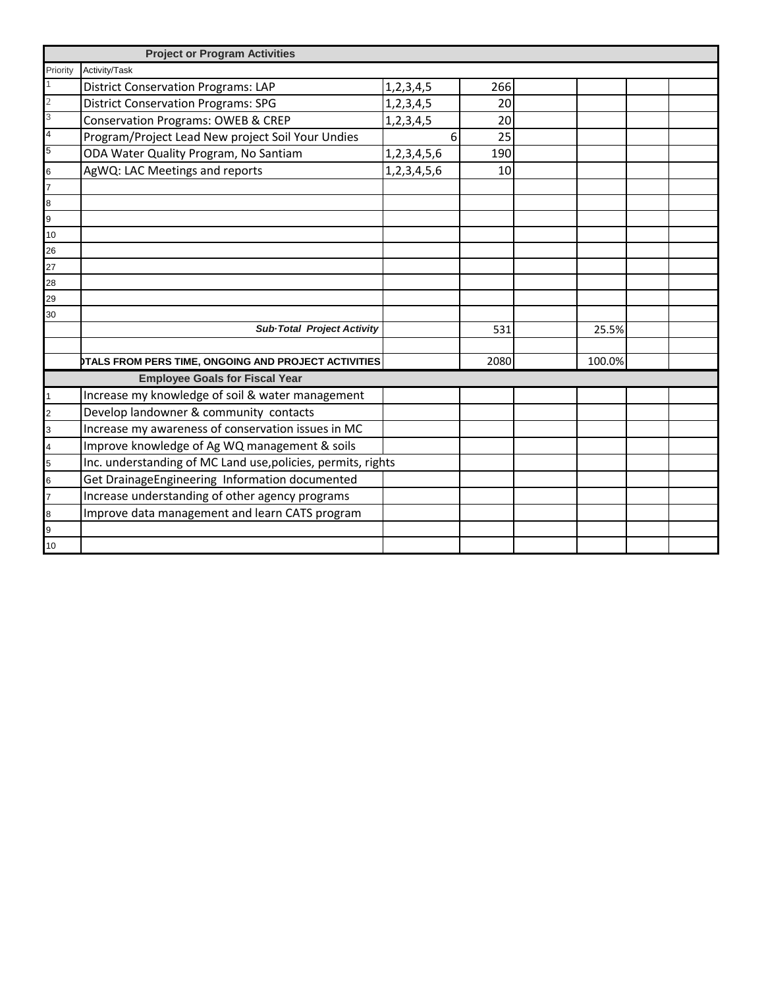|                | <b>Project or Program Activities</b>                         |               |      |        |  |
|----------------|--------------------------------------------------------------|---------------|------|--------|--|
| Priority       | Activity/Task                                                |               |      |        |  |
|                | <b>District Conservation Programs: LAP</b>                   | 1,2,3,4,5     | 266  |        |  |
| $\overline{c}$ | <b>District Conservation Programs: SPG</b>                   | 1, 2, 3, 4, 5 | 20   |        |  |
| 3              | Conservation Programs: OWEB & CREP                           | 1, 2, 3, 4, 5 | 20   |        |  |
| 4              | Program/Project Lead New project Soil Your Undies            | 6             | 25   |        |  |
| 5              | ODA Water Quality Program, No Santiam                        | 1,2,3,4,5,6   | 190  |        |  |
| 6              | AgWQ: LAC Meetings and reports                               | 1,2,3,4,5,6   | 10   |        |  |
| 7              |                                                              |               |      |        |  |
| 8              |                                                              |               |      |        |  |
| 9              |                                                              |               |      |        |  |
| 10             |                                                              |               |      |        |  |
| 26             |                                                              |               |      |        |  |
| 27             |                                                              |               |      |        |  |
| 28             |                                                              |               |      |        |  |
| 29             |                                                              |               |      |        |  |
| 30             |                                                              |               |      |        |  |
|                | Sub-Total Project Activity                                   |               | 531  | 25.5%  |  |
|                |                                                              |               |      |        |  |
|                | DTALS FROM PERS TIME, ONGOING AND PROJECT ACTIVITIES         |               | 2080 | 100.0% |  |
|                | <b>Employee Goals for Fiscal Year</b>                        |               |      |        |  |
|                | Increase my knowledge of soil & water management             |               |      |        |  |
| 2              | Develop landowner & community contacts                       |               |      |        |  |
| 3              | Increase my awareness of conservation issues in MC           |               |      |        |  |
| 4              | Improve knowledge of Ag WQ management & soils                |               |      |        |  |
| 5              | Inc. understanding of MC Land use, policies, permits, rights |               |      |        |  |
| 6              | Get DrainageEngineering Information documented               |               |      |        |  |
|                | Increase understanding of other agency programs              |               |      |        |  |
| 8              | Improve data management and learn CATS program               |               |      |        |  |
| 9              |                                                              |               |      |        |  |
| 10             |                                                              |               |      |        |  |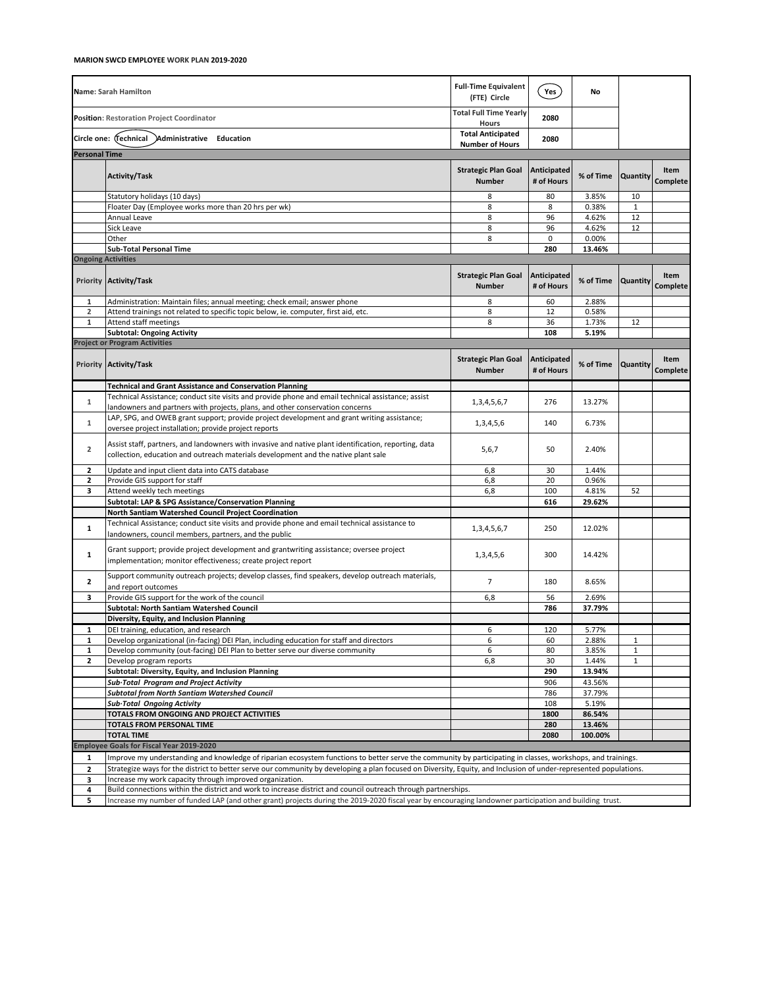|                           | Name: Sarah Hamilton                                                                                                                                                                        | <b>Full-Time Equivalent</b><br>(FTE) Circle   | Yes                       | No        |              |                         |  |  |
|---------------------------|---------------------------------------------------------------------------------------------------------------------------------------------------------------------------------------------|-----------------------------------------------|---------------------------|-----------|--------------|-------------------------|--|--|
|                           | <b>Position: Restoration Project Coordinator</b>                                                                                                                                            | <b>Total Full Time Yearly</b><br><b>Hours</b> | 2080                      |           |              |                         |  |  |
|                           | Circle one: (Technical<br>Administrative Education                                                                                                                                          | <b>Total Anticipated</b>                      | 2080                      |           |              |                         |  |  |
| <b>Personal Time</b>      |                                                                                                                                                                                             | <b>Number of Hours</b>                        |                           |           |              |                         |  |  |
|                           |                                                                                                                                                                                             |                                               |                           |           |              |                         |  |  |
|                           | <b>Activity/Task</b>                                                                                                                                                                        | <b>Strategic Plan Goal</b><br><b>Number</b>   | Anticipated<br># of Hours | % of Time | Quantity     | Item<br>Complete        |  |  |
|                           | Statutory holidays (10 days)                                                                                                                                                                | 8                                             | 80                        | 3.85%     | 10           |                         |  |  |
|                           | Floater Day (Employee works more than 20 hrs per wk)                                                                                                                                        | 8                                             | 8                         | 0.38%     | $\mathbf 1$  |                         |  |  |
|                           | Annual Leave                                                                                                                                                                                | 8                                             | 96                        | 4.62%     | 12           |                         |  |  |
|                           | Sick Leave                                                                                                                                                                                  | 8                                             | 96                        | 4.62%     | 12           |                         |  |  |
|                           | Other                                                                                                                                                                                       | 8                                             | 0                         | 0.00%     |              |                         |  |  |
|                           | <b>Sub-Total Personal Time</b>                                                                                                                                                              |                                               | 280                       | 13.46%    |              |                         |  |  |
| <b>Ongoing Activities</b> |                                                                                                                                                                                             |                                               |                           |           |              |                         |  |  |
|                           | Priority Activity/Task                                                                                                                                                                      | <b>Strategic Plan Goal</b><br><b>Number</b>   | Anticipated<br># of Hours | % of Time | Quantity     | Item<br><b>Complete</b> |  |  |
| 1                         | Administration: Maintain files; annual meeting; check email; answer phone                                                                                                                   | 8                                             | 60                        | 2.88%     |              |                         |  |  |
| $\overline{2}$            | Attend trainings not related to specific topic below, ie. computer, first aid, etc.                                                                                                         | 8                                             | 12                        | 0.58%     |              |                         |  |  |
| 1                         | Attend staff meetings                                                                                                                                                                       | 8                                             | 36                        | 1.73%     | 12           |                         |  |  |
|                           | <b>Subtotal: Ongoing Activity</b>                                                                                                                                                           |                                               | 108                       | 5.19%     |              |                         |  |  |
|                           | <b>Project or Program Activities</b>                                                                                                                                                        |                                               |                           |           |              |                         |  |  |
|                           | Priority Activity/Task                                                                                                                                                                      | <b>Strategic Plan Goal</b><br><b>Number</b>   | Anticipated<br># of Hours | % of Time | Quantity     | Item<br>Complete        |  |  |
|                           | <b>Technical and Grant Assistance and Conservation Planning</b>                                                                                                                             |                                               |                           |           |              |                         |  |  |
| $\mathbf{1}$              | Technical Assistance; conduct site visits and provide phone and email technical assistance; assist                                                                                          | 1,3,4,5,6,7                                   | 276                       | 13.27%    |              |                         |  |  |
|                           | landowners and partners with projects, plans, and other conservation concerns                                                                                                               |                                               |                           |           |              |                         |  |  |
| 1                         | LAP, SPG, and OWEB grant support; provide project development and grant writing assistance;<br>oversee project installation; provide project reports                                        | 1, 3, 4, 5, 6                                 | 140                       | 6.73%     |              |                         |  |  |
| $\overline{2}$            | Assist staff, partners, and landowners with invasive and native plant identification, reporting, data<br>collection, education and outreach materials development and the native plant sale | 5,6,7                                         | 50                        | 2.40%     |              |                         |  |  |
| $\mathbf{2}$              | Update and input client data into CATS database                                                                                                                                             | 6,8                                           | 30                        | 1.44%     |              |                         |  |  |
| $\overline{\mathbf{2}}$   | Provide GIS support for staff                                                                                                                                                               | 6,8                                           | 20                        | 0.96%     |              |                         |  |  |
| 3                         | Attend weekly tech meetings                                                                                                                                                                 | 6,8                                           | 100                       | 4.81%     | 52           |                         |  |  |
|                           | Subtotal: LAP & SPG Assistance/Conservation Planning                                                                                                                                        |                                               | 616                       | 29.62%    |              |                         |  |  |
|                           | North Santiam Watershed Council Project Coordination                                                                                                                                        |                                               |                           |           |              |                         |  |  |
| $\mathbf{1}$              | Technical Assistance; conduct site visits and provide phone and email technical assistance to<br>landowners, council members, partners, and the public                                      | 1, 3, 4, 5, 6, 7                              | 250                       | 12.02%    |              |                         |  |  |
| 1                         | Grant support; provide project development and grantwriting assistance; oversee project<br>implementation; monitor effectiveness; create project report                                     | 1,3,4,5,6                                     | 300                       | 14.42%    |              |                         |  |  |
| $\mathbf{z}$              | Support community outreach projects; develop classes, find speakers, develop outreach materials,                                                                                            | 7                                             | 180                       | 8.65%     |              |                         |  |  |
| з                         | and report outcomes<br>Provide GIS support for the work of the council                                                                                                                      | 6,8                                           | 56                        | 2.69%     |              |                         |  |  |
|                           | Subtotal: North Santiam Watershed Council                                                                                                                                                   |                                               | 786                       | 37.79%    |              |                         |  |  |
|                           | Diversity, Equity, and Inclusion Planning                                                                                                                                                   |                                               |                           |           |              |                         |  |  |
| 1                         | DEI training, education, and research                                                                                                                                                       | 6                                             | 120                       | 5.77%     |              |                         |  |  |
| 1                         | Develop organizational (in-facing) DEI Plan, including education for staff and directors                                                                                                    | 6                                             | 60                        | 2.88%     | $\mathbf{1}$ |                         |  |  |
| 1                         | Develop community (out-facing) DEI Plan to better serve our diverse community                                                                                                               | 6                                             | 80                        | 3.85%     | $\mathbf{1}$ |                         |  |  |
| $\mathbf{2}$              | Develop program reports                                                                                                                                                                     | 6,8                                           | 30                        | 1.44%     | $\mathbf{1}$ |                         |  |  |
|                           | Subtotal: Diversity, Equity, and Inclusion Planning                                                                                                                                         |                                               | 290                       | 13.94%    |              |                         |  |  |
|                           | Sub-Total Program and Project Activity                                                                                                                                                      |                                               | 906                       | 43.56%    |              |                         |  |  |
|                           | Subtotal from North Santiam Watershed Council                                                                                                                                               |                                               | 786                       | 37.79%    |              |                         |  |  |
|                           | Sub-Total Ongoing Activity                                                                                                                                                                  |                                               | 108                       | 5.19%     |              |                         |  |  |
|                           | TOTALS FROM ONGOING AND PROJECT ACTIVITIES                                                                                                                                                  |                                               | 1800                      | 86.54%    |              |                         |  |  |
|                           | TOTALS FROM PERSONAL TIME                                                                                                                                                                   |                                               | 280                       | 13.46%    |              |                         |  |  |
|                           | <b>TOTAL TIME</b>                                                                                                                                                                           |                                               | 2080                      | 100.00%   |              |                         |  |  |
|                           | <b>Employee Goals for Fiscal Year 2019-2020</b>                                                                                                                                             |                                               |                           |           |              |                         |  |  |
| 1                         | Improve my understanding and knowledge of riparian ecosystem functions to better serve the community by participating in classes, workshops, and trainings.                                 |                                               |                           |           |              |                         |  |  |
| $\overline{2}$            | Strategize ways for the district to better serve our community by developing a plan focused on Diversity, Equity, and Inclusion of under-represented populations.                           |                                               |                           |           |              |                         |  |  |
| 3                         | Increase my work capacity through improved organization.<br>Build connections within the district and work to increase district and council outreach through partnerships.                  |                                               |                           |           |              |                         |  |  |
| 4<br>5                    |                                                                                                                                                                                             |                                               |                           |           |              |                         |  |  |
|                           | Increase my number of funded LAP (and other grant) projects during the 2019-2020 fiscal year by encouraging landowner participation and building trust.                                     |                                               |                           |           |              |                         |  |  |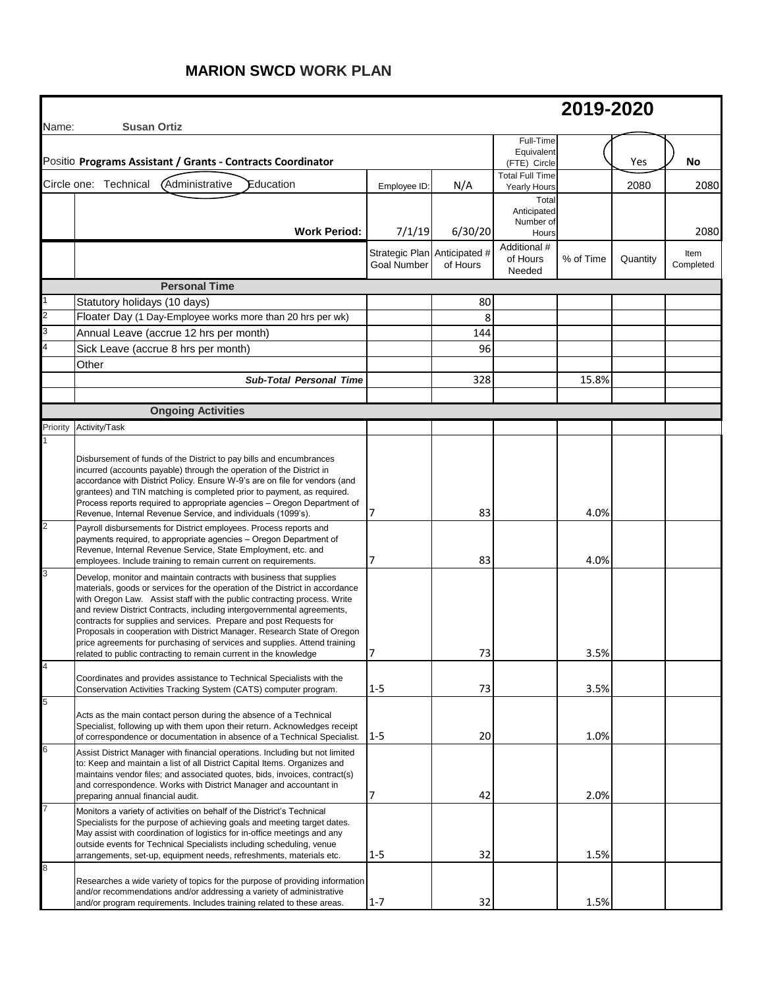## **MARION SWCD WORK PLAN**

| Name:    | <b>Susan Ortiz</b>                                                                                                                                                                                                                                                                                                                                                                                                                                                                                                                                                                                           |                                                    |          |                                                                   | 2019-2020 |          |                   |
|----------|--------------------------------------------------------------------------------------------------------------------------------------------------------------------------------------------------------------------------------------------------------------------------------------------------------------------------------------------------------------------------------------------------------------------------------------------------------------------------------------------------------------------------------------------------------------------------------------------------------------|----------------------------------------------------|----------|-------------------------------------------------------------------|-----------|----------|-------------------|
|          | Positio Programs Assistant / Grants - Contracts Coordinator                                                                                                                                                                                                                                                                                                                                                                                                                                                                                                                                                  |                                                    |          | Full-Time<br>Equivalent<br>(FTE) Circle                           |           | Yes      | No                |
|          | Circle one: Technical<br><b>Administrative</b><br>Education                                                                                                                                                                                                                                                                                                                                                                                                                                                                                                                                                  | Employee ID:                                       | N/A      | <b>Total Full Time</b>                                            |           | 2080     | 2080              |
|          | <b>Work Period:</b>                                                                                                                                                                                                                                                                                                                                                                                                                                                                                                                                                                                          | 7/1/19                                             | 6/30/20  | <b>Yearly Hours</b><br>Total<br>Anticipated<br>Number of<br>Hours |           |          | 2080              |
|          |                                                                                                                                                                                                                                                                                                                                                                                                                                                                                                                                                                                                              | Strategic Plan Anticipated #<br><b>Goal Number</b> | of Hours | Additional #<br>of Hours<br>Needed                                | % of Time | Quantity | Item<br>Completed |
|          | <b>Personal Time</b>                                                                                                                                                                                                                                                                                                                                                                                                                                                                                                                                                                                         |                                                    |          |                                                                   |           |          |                   |
|          | Statutory holidays (10 days)                                                                                                                                                                                                                                                                                                                                                                                                                                                                                                                                                                                 |                                                    | 80       |                                                                   |           |          |                   |
|          | Floater Day (1 Day-Employee works more than 20 hrs per wk)                                                                                                                                                                                                                                                                                                                                                                                                                                                                                                                                                   |                                                    | 8        |                                                                   |           |          |                   |
|          | Annual Leave (accrue 12 hrs per month)                                                                                                                                                                                                                                                                                                                                                                                                                                                                                                                                                                       |                                                    | 144      |                                                                   |           |          |                   |
|          | Sick Leave (accrue 8 hrs per month)                                                                                                                                                                                                                                                                                                                                                                                                                                                                                                                                                                          |                                                    | 96       |                                                                   |           |          |                   |
|          | Other                                                                                                                                                                                                                                                                                                                                                                                                                                                                                                                                                                                                        |                                                    |          |                                                                   |           |          |                   |
|          | <b>Sub-Total Personal Time</b>                                                                                                                                                                                                                                                                                                                                                                                                                                                                                                                                                                               |                                                    | 328      |                                                                   | 15.8%     |          |                   |
|          |                                                                                                                                                                                                                                                                                                                                                                                                                                                                                                                                                                                                              |                                                    |          |                                                                   |           |          |                   |
|          | <b>Ongoing Activities</b>                                                                                                                                                                                                                                                                                                                                                                                                                                                                                                                                                                                    |                                                    |          |                                                                   |           |          |                   |
| Priority | Activity/Task                                                                                                                                                                                                                                                                                                                                                                                                                                                                                                                                                                                                |                                                    |          |                                                                   |           |          |                   |
|          | Disbursement of funds of the District to pay bills and encumbrances<br>incurred (accounts payable) through the operation of the District in<br>accordance with District Policy. Ensure W-9's are on file for vendors (and<br>grantees) and TIN matching is completed prior to payment, as required.<br>Process reports required to appropriate agencies - Oregon Department of<br>Revenue, Internal Revenue Service, and individuals (1099's).                                                                                                                                                               | 17                                                 | 83       |                                                                   | 4.0%      |          |                   |
|          | Payroll disbursements for District employees. Process reports and<br>payments required, to appropriate agencies - Oregon Department of<br>Revenue, Internal Revenue Service, State Employment, etc. and<br>employees. Include training to remain current on requirements.                                                                                                                                                                                                                                                                                                                                    |                                                    | 83       |                                                                   | 4.0%      |          |                   |
|          | Develop, monitor and maintain contracts with business that supplies<br>materials, goods or services for the operation of the District in accordance<br>with Oregon Law. Assist staff with the public contracting process. Write<br>and review District Contracts, including intergovernmental agreements,<br>contracts for supplies and services. Prepare and post Requests for<br>Proposals in cooperation with District Manager. Research State of Oregon<br>price agreements for purchasing of services and supplies. Attend training<br>related to public contracting to remain current in the knowledge | 17                                                 | 73       |                                                                   | 3.5%      |          |                   |
|          | Coordinates and provides assistance to Technical Specialists with the<br>Conservation Activities Tracking System (CATS) computer program.                                                                                                                                                                                                                                                                                                                                                                                                                                                                    | $1 - 5$                                            | 73       |                                                                   | 3.5%      |          |                   |
|          | Acts as the main contact person during the absence of a Technical<br>Specialist, following up with them upon their return. Acknowledges receipt<br>of correspondence or documentation in absence of a Technical Specialist. 1-5                                                                                                                                                                                                                                                                                                                                                                              |                                                    | 20       |                                                                   | 1.0%      |          |                   |
| 6        | Assist District Manager with financial operations. Including but not limited<br>to: Keep and maintain a list of all District Capital Items. Organizes and<br>maintains vendor files; and associated quotes, bids, invoices, contract(s)<br>and correspondence. Works with District Manager and accountant in<br>preparing annual financial audit.                                                                                                                                                                                                                                                            | 17                                                 | 42       |                                                                   | 2.0%      |          |                   |
|          | Monitors a variety of activities on behalf of the District's Technical<br>Specialists for the purpose of achieving goals and meeting target dates.<br>May assist with coordination of logistics for in-office meetings and any<br>outside events for Technical Specialists including scheduling, venue<br>arrangements, set-up, equipment needs, refreshments, materials etc.                                                                                                                                                                                                                                | $1 - 5$                                            | 32       |                                                                   | 1.5%      |          |                   |
| 8        | Researches a wide variety of topics for the purpose of providing information<br>and/or recommendations and/or addressing a variety of administrative<br>and/or program requirements. Includes training related to these areas.                                                                                                                                                                                                                                                                                                                                                                               | $1 - 7$                                            | 32       |                                                                   | 1.5%      |          |                   |